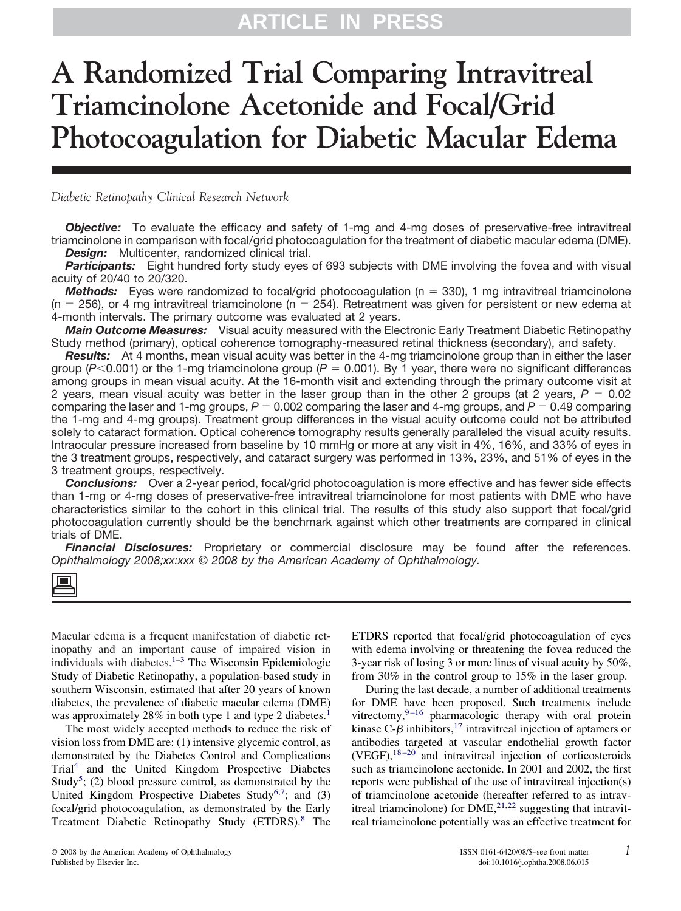## **ARTICLE IN PR**

# **A Randomized Trial Comparing Intravitreal Triamcinolone Acetonide and Focal/Grid Photocoagulation for Diabetic Macular Edema**

*Diabetic Retinopathy Clinical Research Network*

**Objective:** To evaluate the efficacy and safety of 1-mg and 4-mg doses of preservative-free intravitreal triamcinolone in comparison with focal/grid photocoagulation for the treatment of diabetic macular edema (DME). *Design:* Multicenter, randomized clinical trial.

Participants: Eight hundred forty study eyes of 693 subjects with DME involving the fovea and with visual acuity of 20/40 to 20/320.

*Methods:* Eyes were randomized to focal/grid photocoagulation (n = 330), 1 mg intravitreal triamcinolone  $(n = 256)$ , or 4 mg intravitreal triamcinolone  $(n = 254)$ . Retreatment was given for persistent or new edema at 4-month intervals. The primary outcome was evaluated at 2 years.

*Main Outcome Measures:* Visual acuity measured with the Electronic Early Treatment Diabetic Retinopathy Study method (primary), optical coherence tomography-measured retinal thickness (secondary), and safety.

*Results:* At 4 months, mean visual acuity was better in the 4-mg triamcinolone group than in either the laser group (*P*-0.001) or the 1-mg triamcinolone group (*P* 0.001). By 1 year, there were no significant differences among groups in mean visual acuity. At the 16-month visit and extending through the primary outcome visit at 2 years, mean visual acuity was better in the laser group than in the other 2 groups (at 2 years,  $P = 0.02$ ) comparing the laser and 1-mg groups,  $P = 0.002$  comparing the laser and 4-mg groups, and  $P = 0.49$  comparing the 1-mg and 4-mg groups). Treatment group differences in the visual acuity outcome could not be attributed solely to cataract formation. Optical coherence tomography results generally paralleled the visual acuity results. Intraocular pressure increased from baseline by 10 mmHg or more at any visit in 4%, 16%, and 33% of eyes in the 3 treatment groups, respectively, and cataract surgery was performed in 13%, 23%, and 51% of eyes in the 3 treatment groups, respectively.

*Conclusions:* Over a 2-year period, focal/grid photocoagulation is more effective and has fewer side effects than 1-mg or 4-mg doses of preservative-free intravitreal triamcinolone for most patients with DME who have characteristics similar to the cohort in this clinical trial. The results of this study also support that focal/grid photocoagulation currently should be the benchmark against which other treatments are compared in clinical trials of DME.

*Financial Disclosures:* Proprietary or commercial disclosure may be found after the references. *Ophthalmology 2008;xx:xxx © 2008 by the American Academy of Ophthalmology.*



Macular edema is a frequent manifestation of diabetic retinopathy and an important cause of impaired vision in individuals with diabetes. $1-3$  The Wisconsin Epidemiologic Study of Diabetic Retinopathy, a population-based study in southern Wisconsin, estimated that after 20 years of known diabetes, the prevalence of diabetic macular edema (DME) was approximately 28% in both type [1](#page-10-0) and type 2 diabetes.<sup>1</sup>

The most widely accepted methods to reduce the risk of vision loss from DME are: (1) intensive glycemic control, as demonstrated by the Diabetes Control and Complications Trial[4](#page-10-0) and the United Kingdom Prospective Diabetes Study<sup>[5](#page-10-0)</sup>; (2) blood pressure control, as demonstrated by the United Kingdom Prospective Diabetes Study<sup>6,7</sup>; and (3) focal/grid photocoagulation, as demonstrated by the Early Treatment Diabetic Retinopathy Study (ETDRS).<sup>[8](#page-10-0)</sup> The

ETDRS reported that focal/grid photocoagulation of eyes with edema involving or threatening the fovea reduced the 3-year risk of losing 3 or more lines of visual acuity by 50%, from 30% in the control group to 15% in the laser group.

During the last decade, a number of additional treatments for DME have been proposed. Such treatments include vitrectomy, $9-16$  pharmacologic therapy with oral protein kinase C- $\beta$  inhibitors,<sup>[17](#page-11-0)</sup> intravitreal injection of aptamers or antibodies targeted at vascular endothelial growth factor  $(VEGF),$ <sup>[18–20](#page-11-0)</sup> and intravitreal injection of corticosteroids such as triamcinolone acetonide. In 2001 and 2002, the first reports were published of the use of intravitreal injection(s) of triamcinolone acetonide (hereafter referred to as intravitreal triamcinolone) for  $DME<sub>z</sub><sup>21,22</sup>$  $DME<sub>z</sub><sup>21,22</sup>$  $DME<sub>z</sub><sup>21,22</sup>$  suggesting that intravitreal triamcinolone potentially was an effective treatment for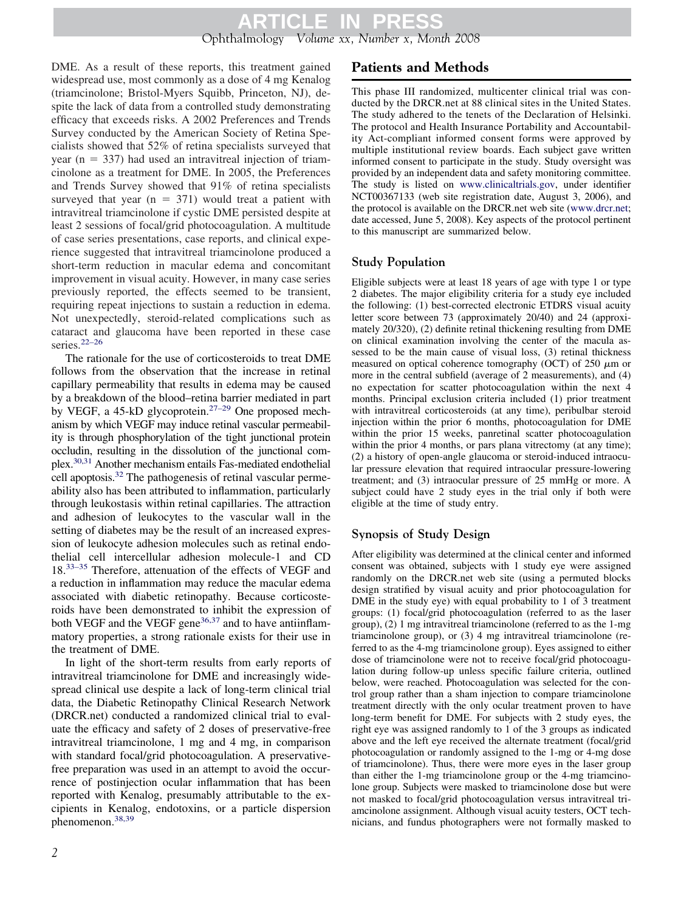## Ophthalmology *Volume xx, Number x, Month 2008* **ARTICLE IN PRESS**

DME. As a result of these reports, this treatment gained widespread use, most commonly as a dose of 4 mg Kenalog (triamcinolone; Bristol-Myers Squibb, Princeton, NJ), despite the lack of data from a controlled study demonstrating efficacy that exceeds risks. A 2002 Preferences and Trends Survey conducted by the American Society of Retina Specialists showed that 52% of retina specialists surveyed that year ( $n = 337$ ) had used an intravitreal injection of triamcinolone as a treatment for DME. In 2005, the Preferences and Trends Survey showed that 91% of retina specialists surveyed that year  $(n = 371)$  would treat a patient with intravitreal triamcinolone if cystic DME persisted despite at least 2 sessions of focal/grid photocoagulation. A multitude of case series presentations, case reports, and clinical experience suggested that intravitreal triamcinolone produced a short-term reduction in macular edema and concomitant improvement in visual acuity. However, in many case series previously reported, the effects seemed to be transient, requiring repeat injections to sustain a reduction in edema. Not unexpectedly, steroid-related complications such as cataract and glaucoma have been reported in these case series.<sup>[22–26](#page-11-0)</sup>

The rationale for the use of corticosteroids to treat DME follows from the observation that the increase in retinal capillary permeability that results in edema may be caused by a breakdown of the blood–retina barrier mediated in part by VEGF, a 45-kD glycoprotein.[27–29](#page-11-0) One proposed mechanism by which VEGF may induce retinal vascular permeability is through phosphorylation of the tight junctional protein occludin, resulting in the dissolution of the junctional complex[.30,31](#page-11-0) Another mechanism entails Fas-mediated endothelial cell apoptosis[.32](#page-11-0) The pathogenesis of retinal vascular permeability also has been attributed to inflammation, particularly through leukostasis within retinal capillaries. The attraction and adhesion of leukocytes to the vascular wall in the setting of diabetes may be the result of an increased expression of leukocyte adhesion molecules such as retinal endothelial cell intercellular adhesion molecule-1 and CD 18.[33–35](#page-11-0) Therefore, attenuation of the effects of VEGF and a reduction in inflammation may reduce the macular edema associated with diabetic retinopathy. Because corticosteroids have been demonstrated to inhibit the expression of both VEGF and the VEGF gene<sup>[36,37](#page-11-0)</sup> and to have antiinflammatory properties, a strong rationale exists for their use in the treatment of DME.

In light of the short-term results from early reports of intravitreal triamcinolone for DME and increasingly widespread clinical use despite a lack of long-term clinical trial data, the Diabetic Retinopathy Clinical Research Network (DRCR.net) conducted a randomized clinical trial to evaluate the efficacy and safety of 2 doses of preservative-free intravitreal triamcinolone, 1 mg and 4 mg, in comparison with standard focal/grid photocoagulation. A preservativefree preparation was used in an attempt to avoid the occurrence of postinjection ocular inflammation that has been reported with Kenalog, presumably attributable to the excipients in Kenalog, endotoxins, or a particle dispersion phenomenon.[38,39](#page-11-0)

## **Patients and Methods**

This phase III randomized, multicenter clinical trial was conducted by the DRCR.net at 88 clinical sites in the United States. The study adhered to the tenets of the Declaration of Helsinki. The protocol and Health Insurance Portability and Accountability Act-compliant informed consent forms were approved by multiple institutional review boards. Each subject gave written informed consent to participate in the study. Study oversight was provided by an independent data and safety monitoring committee. The study is listed on [www.clinicaltrials.gov,](http://www.clinicaltrials.gov) under identifier NCT00367133 (web site registration date, August 3, 2006), and the protocol is available on the DRCR.net web site [\(www.drcr.net;](http://www.drcr.net) date accessed, June 5, 2008). Key aspects of the protocol pertinent to this manuscript are summarized below.

## **Study Population**

Eligible subjects were at least 18 years of age with type 1 or type 2 diabetes. The major eligibility criteria for a study eye included the following: (1) best-corrected electronic ETDRS visual acuity letter score between 73 (approximately 20/40) and 24 (approximately 20/320), (2) definite retinal thickening resulting from DME on clinical examination involving the center of the macula assessed to be the main cause of visual loss, (3) retinal thickness measured on optical coherence tomography (OCT) of 250  $\mu$ m or more in the central subfield (average of 2 measurements), and (4) no expectation for scatter photocoagulation within the next 4 months. Principal exclusion criteria included (1) prior treatment with intravitreal corticosteroids (at any time), peribulbar steroid injection within the prior 6 months, photocoagulation for DME within the prior 15 weeks, panretinal scatter photocoagulation within the prior 4 months, or pars plana vitrectomy (at any time); (2) a history of open-angle glaucoma or steroid-induced intraocular pressure elevation that required intraocular pressure-lowering treatment; and (3) intraocular pressure of 25 mmHg or more. A subject could have 2 study eyes in the trial only if both were eligible at the time of study entry.

#### **Synopsis of Study Design**

After eligibility was determined at the clinical center and informed consent was obtained, subjects with 1 study eye were assigned randomly on the DRCR.net web site (using a permuted blocks design stratified by visual acuity and prior photocoagulation for DME in the study eye) with equal probability to 1 of 3 treatment groups: (1) focal/grid photocoagulation (referred to as the laser group), (2) 1 mg intravitreal triamcinolone (referred to as the 1-mg triamcinolone group), or (3) 4 mg intravitreal triamcinolone (referred to as the 4-mg triamcinolone group). Eyes assigned to either dose of triamcinolone were not to receive focal/grid photocoagulation during follow-up unless specific failure criteria, outlined below, were reached. Photocoagulation was selected for the control group rather than a sham injection to compare triamcinolone treatment directly with the only ocular treatment proven to have long-term benefit for DME. For subjects with 2 study eyes, the right eye was assigned randomly to 1 of the 3 groups as indicated above and the left eye received the alternate treatment (focal/grid photocoagulation or randomly assigned to the 1-mg or 4-mg dose of triamcinolone). Thus, there were more eyes in the laser group than either the 1-mg triamcinolone group or the 4-mg triamcinolone group. Subjects were masked to triamcinolone dose but were not masked to focal/grid photocoagulation versus intravitreal triamcinolone assignment. Although visual acuity testers, OCT technicians, and fundus photographers were not formally masked to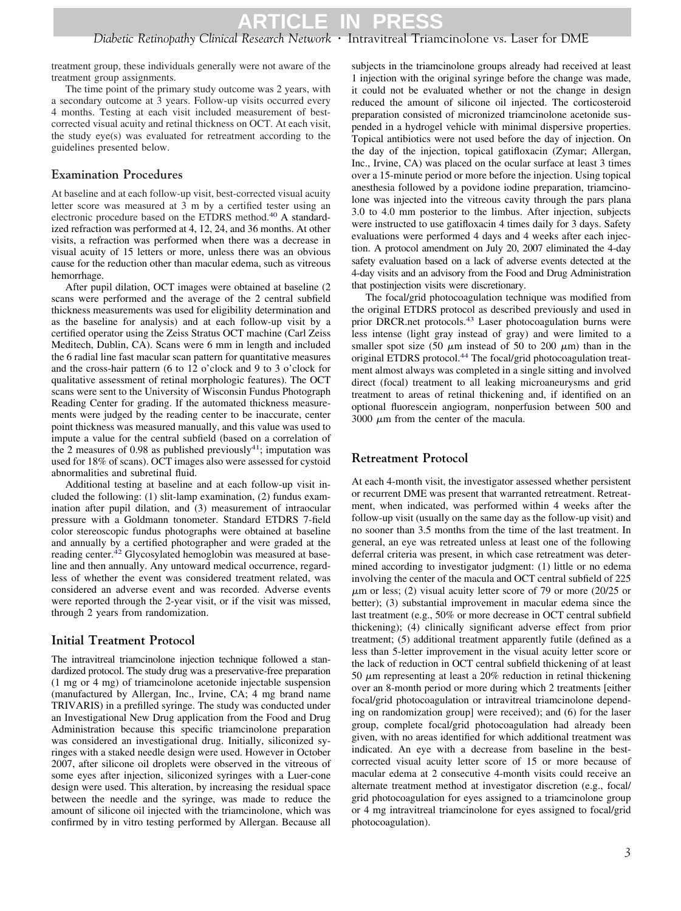treatment group, these individuals generally were not aware of the treatment group assignments.

The time point of the primary study outcome was 2 years, with a secondary outcome at 3 years. Follow-up visits occurred every 4 months. Testing at each visit included measurement of bestcorrected visual acuity and retinal thickness on OCT. At each visit, the study eye(s) was evaluated for retreatment according to the guidelines presented below.

#### **Examination Procedures**

At baseline and at each follow-up visit, best-corrected visual acuity letter score was measured at 3 m by a certified tester using an electronic procedure based on the ETDRS method[.40](#page-11-0) A standardized refraction was performed at 4, 12, 24, and 36 months. At other visits, a refraction was performed when there was a decrease in visual acuity of 15 letters or more, unless there was an obvious cause for the reduction other than macular edema, such as vitreous hemorrhage.

After pupil dilation, OCT images were obtained at baseline (2 scans were performed and the average of the 2 central subfield thickness measurements was used for eligibility determination and as the baseline for analysis) and at each follow-up visit by a certified operator using the Zeiss Stratus OCT machine (Carl Zeiss Meditech, Dublin, CA). Scans were 6 mm in length and included the 6 radial line fast macular scan pattern for quantitative measures and the cross-hair pattern (6 to 12 o'clock and 9 to 3 o'clock for qualitative assessment of retinal morphologic features). The OCT scans were sent to the University of Wisconsin Fundus Photograph Reading Center for grading. If the automated thickness measurements were judged by the reading center to be inaccurate, center point thickness was measured manually, and this value was used to impute a value for the central subfield (based on a correlation of the 2 measures of 0.98 as published previously<sup>41</sup>; imputation was used for 18% of scans). OCT images also were assessed for cystoid abnormalities and subretinal fluid.

Additional testing at baseline and at each follow-up visit included the following: (1) slit-lamp examination, (2) fundus examination after pupil dilation, and (3) measurement of intraocular pressure with a Goldmann tonometer. Standard ETDRS 7-field color stereoscopic fundus photographs were obtained at baseline and annually by a certified photographer and were graded at the reading center.<sup>42</sup> Glycosylated hemoglobin was measured at baseline and then annually. Any untoward medical occurrence, regardless of whether the event was considered treatment related, was considered an adverse event and was recorded. Adverse events were reported through the 2-year visit, or if the visit was missed, through 2 years from randomization.

## **Initial Treatment Protocol**

The intravitreal triamcinolone injection technique followed a standardized protocol. The study drug was a preservative-free preparation (1 mg or 4 mg) of triamcinolone acetonide injectable suspension (manufactured by Allergan, Inc., Irvine, CA; 4 mg brand name TRIVARIS) in a prefilled syringe. The study was conducted under an Investigational New Drug application from the Food and Drug Administration because this specific triamcinolone preparation was considered an investigational drug. Initially, siliconized syringes with a staked needle design were used. However in October 2007, after silicone oil droplets were observed in the vitreous of some eyes after injection, siliconized syringes with a Luer-cone design were used. This alteration, by increasing the residual space between the needle and the syringe, was made to reduce the amount of silicone oil injected with the triamcinolone, which was confirmed by in vitro testing performed by Allergan. Because all

subjects in the triamcinolone groups already had received at least 1 injection with the original syringe before the change was made, it could not be evaluated whether or not the change in design reduced the amount of silicone oil injected. The corticosteroid preparation consisted of micronized triamcinolone acetonide suspended in a hydrogel vehicle with minimal dispersive properties. Topical antibiotics were not used before the day of injection. On the day of the injection, topical gatifloxacin (Zymar; Allergan, Inc., Irvine, CA) was placed on the ocular surface at least 3 times over a 15-minute period or more before the injection. Using topical anesthesia followed by a povidone iodine preparation, triamcinolone was injected into the vitreous cavity through the pars plana 3.0 to 4.0 mm posterior to the limbus. After injection, subjects were instructed to use gatifloxacin 4 times daily for 3 days. Safety evaluations were performed 4 days and 4 weeks after each injection. A protocol amendment on July 20, 2007 eliminated the 4-day safety evaluation based on a lack of adverse events detected at the 4-day visits and an advisory from the Food and Drug Administration that postinjection visits were discretionary.

The focal/grid photocoagulation technique was modified from the original ETDRS protocol as described previously and used in prior DRCR.net protocols.<sup>43</sup> Laser photocoagulation burns were less intense (light gray instead of gray) and were limited to a smaller spot size (50  $\mu$ m instead of 50 to 200  $\mu$ m) than in the original ETDRS protocol.<sup>44</sup> The focal/grid photocoagulation treatment almost always was completed in a single sitting and involved direct (focal) treatment to all leaking microaneurysms and grid treatment to areas of retinal thickening and, if identified on an optional fluorescein angiogram, nonperfusion between 500 and  $3000 \mu m$  from the center of the macula.

## **Retreatment Protocol**

At each 4-month visit, the investigator assessed whether persistent or recurrent DME was present that warranted retreatment. Retreatment, when indicated, was performed within 4 weeks after the follow-up visit (usually on the same day as the follow-up visit) and no sooner than 3.5 months from the time of the last treatment. In general, an eye was retreated unless at least one of the following deferral criteria was present, in which case retreatment was determined according to investigator judgment: (1) little or no edema involving the center of the macula and OCT central subfield of 225  $\mu$ m or less; (2) visual acuity letter score of 79 or more (20/25 or better); (3) substantial improvement in macular edema since the last treatment (e.g., 50% or more decrease in OCT central subfield thickening); (4) clinically significant adverse effect from prior treatment; (5) additional treatment apparently futile (defined as a less than 5-letter improvement in the visual acuity letter score or the lack of reduction in OCT central subfield thickening of at least 50  $\mu$ m representing at least a 20% reduction in retinal thickening over an 8-month period or more during which 2 treatments [either focal/grid photocoagulation or intravitreal triamcinolone depending on randomization group] were received); and (6) for the laser group, complete focal/grid photocoagulation had already been given, with no areas identified for which additional treatment was indicated. An eye with a decrease from baseline in the bestcorrected visual acuity letter score of 15 or more because of macular edema at 2 consecutive 4-month visits could receive an alternate treatment method at investigator discretion (e.g., focal/ grid photocoagulation for eyes assigned to a triamcinolone group or 4 mg intravitreal triamcinolone for eyes assigned to focal/grid photocoagulation).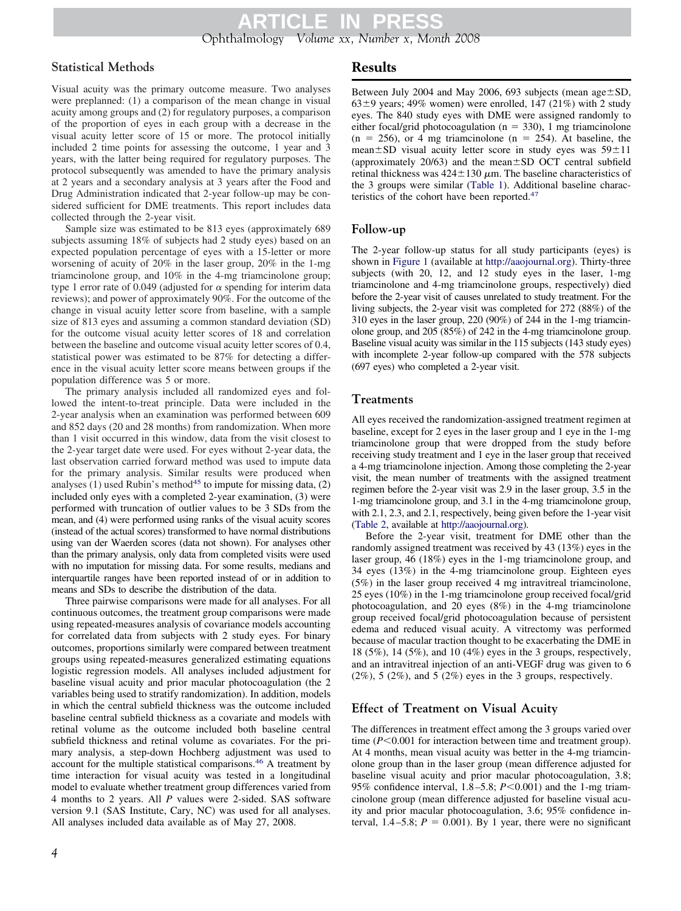## **Statistical Methods**

Visual acuity was the primary outcome measure. Two analyses were preplanned: (1) a comparison of the mean change in visual acuity among groups and (2) for regulatory purposes, a comparison of the proportion of eyes in each group with a decrease in the visual acuity letter score of 15 or more. The protocol initially included 2 time points for assessing the outcome, 1 year and 3 years, with the latter being required for regulatory purposes. The protocol subsequently was amended to have the primary analysis at 2 years and a secondary analysis at 3 years after the Food and Drug Administration indicated that 2-year follow-up may be considered sufficient for DME treatments. This report includes data collected through the 2-year visit.

Sample size was estimated to be 813 eyes (approximately 689 subjects assuming 18% of subjects had 2 study eyes) based on an expected population percentage of eyes with a 15-letter or more worsening of acuity of 20% in the laser group, 20% in the 1-mg triamcinolone group, and 10% in the 4-mg triamcinolone group; type 1 error rate of 0.049 (adjusted for  $\alpha$  spending for interim data reviews); and power of approximately 90%. For the outcome of the change in visual acuity letter score from baseline, with a sample size of 813 eyes and assuming a common standard deviation (SD) for the outcome visual acuity letter scores of 18 and correlation between the baseline and outcome visual acuity letter scores of 0.4, statistical power was estimated to be 87% for detecting a difference in the visual acuity letter score means between groups if the population difference was 5 or more.

The primary analysis included all randomized eyes and followed the intent-to-treat principle. Data were included in the 2-year analysis when an examination was performed between 609 and 852 days (20 and 28 months) from randomization. When more than 1 visit occurred in this window, data from the visit closest to the 2-year target date were used. For eyes without 2-year data, the last observation carried forward method was used to impute data for the primary analysis. Similar results were produced when analyses (1) used Rubin's method<sup>45</sup> to impute for missing data, (2) included only eyes with a completed 2-year examination, (3) were performed with truncation of outlier values to be 3 SDs from the mean, and (4) were performed using ranks of the visual acuity scores (instead of the actual scores) transformed to have normal distributions using van der Waerden scores (data not shown). For analyses other than the primary analysis, only data from completed visits were used with no imputation for missing data. For some results, medians and interquartile ranges have been reported instead of or in addition to means and SDs to describe the distribution of the data.

Three pairwise comparisons were made for all analyses. For all continuous outcomes, the treatment group comparisons were made using repeated-measures analysis of covariance models accounting for correlated data from subjects with 2 study eyes. For binary outcomes, proportions similarly were compared between treatment groups using repeated-measures generalized estimating equations logistic regression models. All analyses included adjustment for baseline visual acuity and prior macular photocoagulation (the 2 variables being used to stratify randomization). In addition, models in which the central subfield thickness was the outcome included baseline central subfield thickness as a covariate and models with retinal volume as the outcome included both baseline central subfield thickness and retinal volume as covariates. For the primary analysis, a step-down Hochberg adjustment was used to account for the multiple statistical comparisons[.46](#page-11-0) A treatment by time interaction for visual acuity was tested in a longitudinal model to evaluate whether treatment group differences varied from 4 months to 2 years. All *P* values were 2-sided. SAS software version 9.1 (SAS Institute, Cary, NC) was used for all analyses. All analyses included data available as of May 27, 2008.

## **Results**

Between July 2004 and May 2006, 693 subjects (mean age $\pm$ SD,  $63\pm9$  years; 49% women) were enrolled, 147 (21%) with 2 study eyes. The 840 study eyes with DME were assigned randomly to either focal/grid photocoagulation ( $n = 330$ ), 1 mg triamcinolone  $(n = 256)$ , or 4 mg triamcinolone  $(n = 254)$ . At baseline, the mean $\pm$ SD visual acuity letter score in study eyes was  $59\pm11$ (approximately  $20/63$ ) and the mean $\pm$ SD OCT central subfield retinal thickness was  $424 \pm 130 \ \mu m$ . The baseline characteristics of the 3 groups were similar [\(Table 1\)](#page-4-0). Additional baseline characteristics of the cohort have been reported.<sup>47</sup>

#### **Follow-up**

The 2-year follow-up status for all study participants (eyes) is shown in [Figure 1](#page-22-0) (available at [http://aaojournal.org\)](http://aaojournal.org). Thirty-three subjects (with 20, 12, and 12 study eyes in the laser, 1-mg triamcinolone and 4-mg triamcinolone groups, respectively) died before the 2-year visit of causes unrelated to study treatment. For the living subjects, the 2-year visit was completed for 272 (88%) of the 310 eyes in the laser group, 220 (90%) of 244 in the 1-mg triamcinolone group, and 205 (85%) of 242 in the 4-mg triamcinolone group. Baseline visual acuity was similar in the 115 subjects (143 study eyes) with incomplete 2-year follow-up compared with the 578 subjects (697 eyes) who completed a 2-year visit.

#### **Treatments**

All eyes received the randomization-assigned treatment regimen at baseline, except for 2 eyes in the laser group and 1 eye in the 1-mg triamcinolone group that were dropped from the study before receiving study treatment and 1 eye in the laser group that received a 4-mg triamcinolone injection. Among those completing the 2-year visit, the mean number of treatments with the assigned treatment regimen before the 2-year visit was 2.9 in the laser group, 3.5 in the 1-mg triamcinolone group, and 3.1 in the 4-mg triamcinolone group, with 2.1, 2.3, and 2.1, respectively, being given before the 1-year visit [\(Table 2,](#page-18-0) available at [http://aaojournal.org\)](http://aaojournal.org).

Before the 2-year visit, treatment for DME other than the randomly assigned treatment was received by 43 (13%) eyes in the laser group, 46 (18%) eyes in the 1-mg triamcinolone group, and 34 eyes (13%) in the 4-mg triamcinolone group. Eighteen eyes (5%) in the laser group received 4 mg intravitreal triamcinolone, 25 eyes (10%) in the 1-mg triamcinolone group received focal/grid photocoagulation, and 20 eyes (8%) in the 4-mg triamcinolone group received focal/grid photocoagulation because of persistent edema and reduced visual acuity. A vitrectomy was performed because of macular traction thought to be exacerbating the DME in 18 (5%), 14 (5%), and 10 (4%) eyes in the 3 groups, respectively, and an intravitreal injection of an anti-VEGF drug was given to 6  $(2\%)$ , 5  $(2\%)$ , and 5  $(2\%)$  eyes in the 3 groups, respectively.

## **Effect of Treatment on Visual Acuity**

The differences in treatment effect among the 3 groups varied over time ( $P < 0.001$  for interaction between time and treatment group). At 4 months, mean visual acuity was better in the 4-mg triamcinolone group than in the laser group (mean difference adjusted for baseline visual acuity and prior macular photocoagulation, 3.8; 95% confidence interval, 1.8–5.8; *P*-0.001) and the 1-mg triamcinolone group (mean difference adjusted for baseline visual acuity and prior macular photocoagulation, 3.6; 95% confidence interval,  $1.4-5.8$ ;  $P = 0.001$ ). By 1 year, there were no significant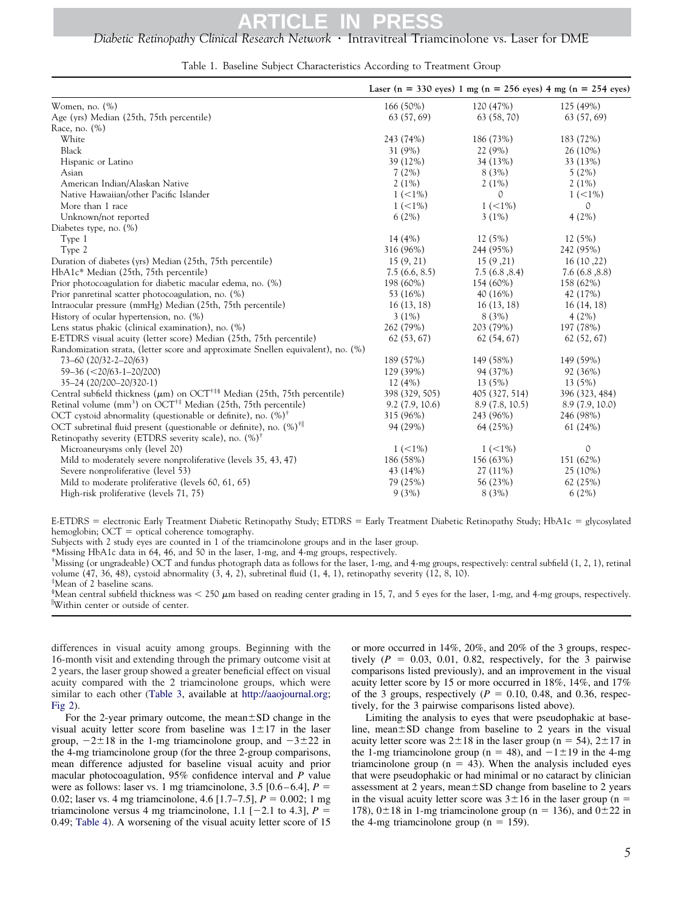|  | Table 1. Baseline Subject Characteristics According to Treatment Group |  |  |
|--|------------------------------------------------------------------------|--|--|
|  |                                                                        |  |  |

<span id="page-4-0"></span>

|                                                                                            |                | Laser (n = 330 eyes) 1 mg (n = 256 eyes) 4 mg (n = 254 eyes) |                 |
|--------------------------------------------------------------------------------------------|----------------|--------------------------------------------------------------|-----------------|
| Women, no. $(\%)$                                                                          | 166 (50%)      | 120 (47%)                                                    | 125 (49%)       |
| Age (yrs) Median (25th, 75th percentile)                                                   | 63 (57, 69)    | 63(58, 70)                                                   | 63 (57, 69)     |
| Race, no. (%)                                                                              |                |                                                              |                 |
| White                                                                                      | 243 (74%)      | 186 (73%)                                                    | 183 (72%)       |
| Black                                                                                      | 31 (9%)        | 22 (9%)                                                      | 26 (10%)        |
| Hispanic or Latino                                                                         | 39 (12%)       | 34 (13%)                                                     | 33 (13%)        |
| Asian                                                                                      | 7(2%)          | 8(3%)                                                        | 5(2%)           |
| American Indian/Alaskan Native                                                             | $2(1\%)$       | $2(1\%)$                                                     | $2(1\%)$        |
| Native Hawaiian/other Pacific Islander                                                     | $1 (< 1\%)$    | 0                                                            | $1 (< 1\%)$     |
| More than 1 race                                                                           | $1 (< 1\%)$    | $1 (< 1\%)$                                                  | $\Omega$        |
| Unknown/not reported                                                                       | 6(2%)          | $3(1\%)$                                                     | 4(2%)           |
| Diabetes type, no. $(\%)$                                                                  |                |                                                              |                 |
| Type 1                                                                                     | 14(4%)         | 12 (5%)                                                      | 12(5%)          |
| Type 2                                                                                     | 316 (96%)      | 244 (95%)                                                    | 242 (95%)       |
| Duration of diabetes (yrs) Median (25th, 75th percentile)                                  | 15(9, 21)      | 15(9,21)                                                     | 16(10,22)       |
| HbA1c* Median (25th, 75th percentile)                                                      | 7.5(6.6, 8.5)  | 7.5(6.8, 8.4)                                                | 7.6(6.8, 8.8)   |
| Prior photocoagulation for diabetic macular edema, no. (%)                                 | 198 (60%)      | 154 (60%)                                                    | 158 (62%)       |
| Prior panretinal scatter photocoagulation, no. (%)                                         | 53 (16%)       | 40 (16%)                                                     | 42 (17%)        |
| Intraocular pressure (mmHg) Median (25th, 75th percentile)                                 | 16(13, 18)     | 16(13, 18)                                                   | 16(14, 18)      |
| History of ocular hypertension, no. (%)                                                    | $3(1\%)$       | 8(3%)                                                        | 4(2%)           |
| Lens status phakic (clinical examination), no. (%)                                         | 262 (79%)      | 203 (79%)                                                    | 197 (78%)       |
| E-ETDRS visual acuity (letter score) Median (25th, 75th percentile)                        | 62(53, 67)     | 62 (54, 67)                                                  | 62 (52, 67)     |
| Randomization strata, (letter score and approximate Snellen equivalent), no. (%)           |                |                                                              |                 |
| 73-60 (20/32-2-20/63)                                                                      | 189 (57%)      | 149 (58%)                                                    | 149 (59%)       |
| $59-36$ (<20/63-1-20/200)                                                                  | 129 (39%)      | 94 (37%)                                                     | 92 (36%)        |
| 35-24 (20/200-20/320-1)                                                                    | 12(4%)         | $13(5\%)$                                                    | 13(5%)          |
| Central subfield thickness ( $\mu$ m) on OCT <sup>+#§</sup> Median (25th, 75th percentile) | 398 (329, 505) | 405 (327, 514)                                               | 396 (323, 484)  |
| Retinal volume (mm <sup>3</sup> ) on OCT <sup>†‡</sup> Median (25th, 75th percentile)      | 9.2(7.9, 10.6) | 8.9 (7.8, 10.5)                                              | 8.9 (7.9, 10.0) |
| OCT cystoid abnormality (questionable or definite), no. $(\%)^{\dagger}$                   | 315 (96%)      | 243 (96%)                                                    | 246 (98%)       |
| OCT subretinal fluid present (questionable or definite), no. $(\%)^{\dagger\parallel}$     | 94 (29%)       | 64 (25%)                                                     | 61(24%)         |
| Retinopathy severity (ETDRS severity scale), no. $(\%)^{\dagger}$                          |                |                                                              |                 |
| Microaneurysms only (level 20)                                                             | $1 (< 1\%)$    | $1 (< 1\%)$                                                  | 0               |
| Mild to moderately severe nonproliferative (levels 35, 43, 47)                             | 186 (58%)      | 156 (63%)                                                    | 151 (62%)       |
| Severe nonproliferative (level 53)                                                         | 43 (14%)       | 27 (11%)                                                     | 25 (10%)        |
| Mild to moderate proliferative (levels 60, 61, 65)                                         | 79 (25%)       | 56 (23%)                                                     | 62 (25%)        |
| High-risk proliferative (levels 71, 75)                                                    | 9(3%)          | 8(3%)                                                        | 6(2%)           |

E-ETDRS = electronic Early Treatment Diabetic Retinopathy Study; ETDRS = Early Treatment Diabetic Retinopathy Study; HbA1c = glycosylated hemoglobin;  $OCT =$  optical coherence tomography.

Subjects with 2 study eyes are counted in 1 of the triamcinolone groups and in the laser group.

\*Missing HbA1c data in 64, 46, and 50 in the laser, 1-mg, and 4-mg groups, respectively.

† Missing (or ungradeable) OCT and fundus photograph data as follows for the laser, 1-mg, and 4-mg groups, respectively: central subfield (1, 2, 1), retinal volume  $(47, 36, 48)$ , cystoid abnormality  $(3, 4, 2)$ , subretinal fluid  $(1, 4, 1)$ , retinopathy severity  $(12, 8, 10)$ .

‡ Mean of 2 baseline scans.

 $\delta$ Mean central subfield thickness was < 250  $\mu$ m based on reading center grading in 15, 7, and 5 eyes for the laser, 1-mg, and 4-mg groups, respectively. Within center or outside of center.

differences in visual acuity among groups. Beginning with the 16-month visit and extending through the primary outcome visit at 2 years, the laser group showed a greater beneficial effect on visual acuity compared with the 2 triamcinolone groups, which were similar to each other [\(Table 3,](#page-19-0) available at [http://aaojournal.org;](http://aaojournal.org) [Fig 2\)](#page-5-0).

For the 2-year primary outcome, the mean $\pm$ SD change in the visual acuity letter score from baseline was  $1 \pm 17$  in the laser group,  $-2\pm 18$  in the 1-mg triamcinolone group, and  $-3\pm 22$  in the 4-mg triamcinolone group (for the three 2-group comparisons, mean difference adjusted for baseline visual acuity and prior macular photocoagulation, 95% confidence interval and *P* value were as follows: laser vs. 1 mg triamcinolone, 3.5 [0.6–6.4],  $P =$ 0.02; laser vs. 4 mg triamcinolone, 4.6  $[1.7–7.5]$ ,  $P = 0.002$ ; 1 mg triamcinolone versus 4 mg triamcinolone, 1.1  $[-2.1 \text{ to } 4.3]$ ,  $P =$ 0.49; [Table 4\)](#page-6-0). A worsening of the visual acuity letter score of 15

or more occurred in 14%, 20%, and 20% of the 3 groups, respectively  $(P = 0.03, 0.01, 0.82,$  respectively, for the  $\overline{3}$  pairwise comparisons listed previously), and an improvement in the visual acuity letter score by 15 or more occurred in 18%, 14%, and 17% of the 3 groups, respectively  $(P = 0.10, 0.48, \text{ and } 0.36, \text{ respectively}$ tively, for the 3 pairwise comparisons listed above).

Limiting the analysis to eyes that were pseudophakic at baseline, mean $\pm$ SD change from baseline to 2 years in the visual acuity letter score was  $2\pm 18$  in the laser group (n = 54),  $2\pm 17$  in the 1-mg triamcinolone group (n = 48), and  $-1 \pm 19$  in the 4-mg triamcinolone group ( $n = 43$ ). When the analysis included eyes that were pseudophakic or had minimal or no cataract by clinician assessment at 2 years, mean $\pm$ SD change from baseline to 2 years in the visual acuity letter score was  $3\pm 16$  in the laser group (n = 178),  $0 \pm 18$  in 1-mg triamcinolone group (n = 136), and  $0 \pm 22$  in the 4-mg triamcinolone group ( $n = 159$ ).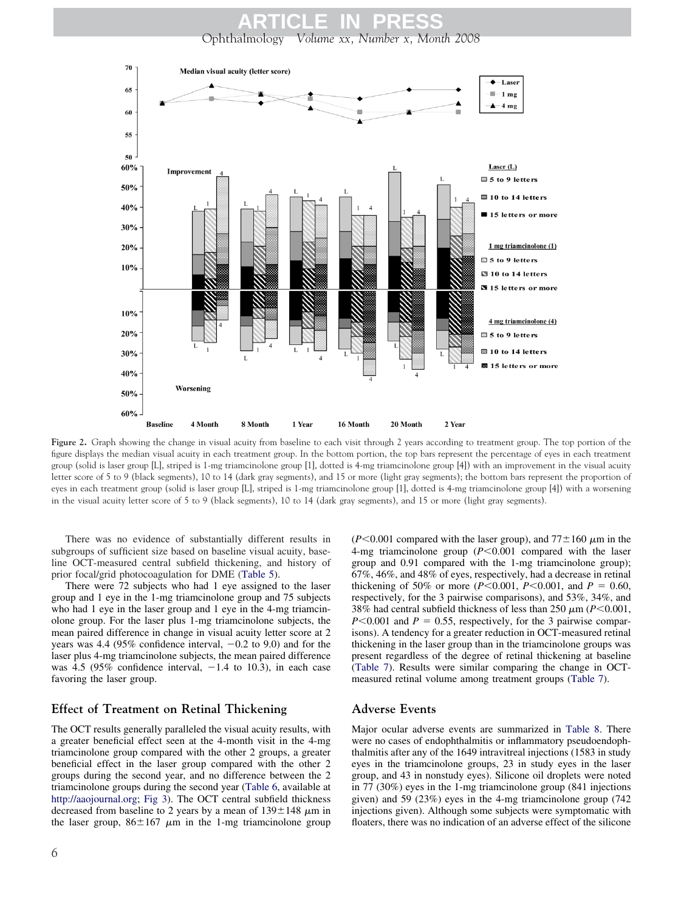Ophthalmology *Volume xx, Number x, Month 2008* **ARTICLE IN PRESS**

<span id="page-5-0"></span>

**Figure 2.** Graph showing the change in visual acuity from baseline to each visit through 2 years according to treatment group. The top portion of the figure displays the median visual acuity in each treatment group. In the bottom portion, the top bars represent the percentage of eyes in each treatment group (solid is laser group [L], striped is 1-mg triamcinolone group [1], dotted is 4-mg triamcinolone group [4]) with an improvement in the visual acuity letter score of 5 to 9 (black segments), 10 to 14 (dark gray segments), and 15 or more (light gray segments); the bottom bars represent the proportion of eyes in each treatment group (solid is laser group [L], striped is 1-mg triamcinolone group [1], dotted is 4-mg triamcinolone group [4]) with a worsening in the visual acuity letter score of 5 to 9 (black segments), 10 to 14 (dark gray segments), and 15 or more (light gray segments).

There was no evidence of substantially different results in subgroups of sufficient size based on baseline visual acuity, baseline OCT-measured central subfield thickening, and history of prior focal/grid photocoagulation for DME [\(Table 5\)](#page-7-0).

There were 72 subjects who had 1 eye assigned to the laser group and 1 eye in the 1-mg triamcinolone group and 75 subjects who had 1 eye in the laser group and 1 eye in the 4-mg triamcinolone group. For the laser plus 1-mg triamcinolone subjects, the mean paired difference in change in visual acuity letter score at 2 years was 4.4 (95% confidence interval,  $-0.2$  to 9.0) and for the laser plus 4-mg triamcinolone subjects, the mean paired difference was 4.5 (95% confidence interval,  $-1.4$  to 10.3), in each case favoring the laser group.

#### **Effect of Treatment on Retinal Thickening**

The OCT results generally paralleled the visual acuity results, with a greater beneficial effect seen at the 4-month visit in the 4-mg triamcinolone group compared with the other 2 groups, a greater beneficial effect in the laser group compared with the other 2 groups during the second year, and no difference between the 2 triamcinolone groups during the second year [\(Table 6,](#page-21-0) available at [http://aaojournal.org;](http://aaojournal.org) [Fig 3\)](#page-7-0). The OCT central subfield thickness decreased from baseline to 2 years by a mean of  $139 \pm 148$   $\mu$ m in the laser group,  $86 \pm 167$   $\mu$ m in the 1-mg triamcinolone group

( $P$ <0.001 compared with the laser group), and  $77 \pm 160 \mu$ m in the 4-mg triamcinolone group (*P*-0.001 compared with the laser group and 0.91 compared with the 1-mg triamcinolone group); 67%, 46%, and 48% of eyes, respectively, had a decrease in retinal thickening of 50% or more  $(P< 0.001, P < 0.001,$  and  $P = 0.60,$ respectively, for the 3 pairwise comparisons), and 53%, 34%, and 38% had central subfield thickness of less than 250  $\mu$ m (*P*<0.001,  $P \le 0.001$  and  $P = 0.55$ , respectively, for the 3 pairwise comparisons). A tendency for a greater reduction in OCT-measured retinal thickening in the laser group than in the triamcinolone groups was present regardless of the degree of retinal thickening at baseline [\(Table 7\)](#page-8-0). Results were similar comparing the change in OCTmeasured retinal volume among treatment groups [\(Table 7\)](#page-8-0).

#### **Adverse Events**

Major ocular adverse events are summarized in [Table 8.](#page-9-0) There were no cases of endophthalmitis or inflammatory pseudoendophthalmitis after any of the 1649 intravitreal injections (1583 in study eyes in the triamcinolone groups, 23 in study eyes in the laser group, and 43 in nonstudy eyes). Silicone oil droplets were noted in 77 (30%) eyes in the 1-mg triamcinolone group (841 injections given) and 59 (23%) eyes in the 4-mg triamcinolone group (742 injections given). Although some subjects were symptomatic with floaters, there was no indication of an adverse effect of the silicone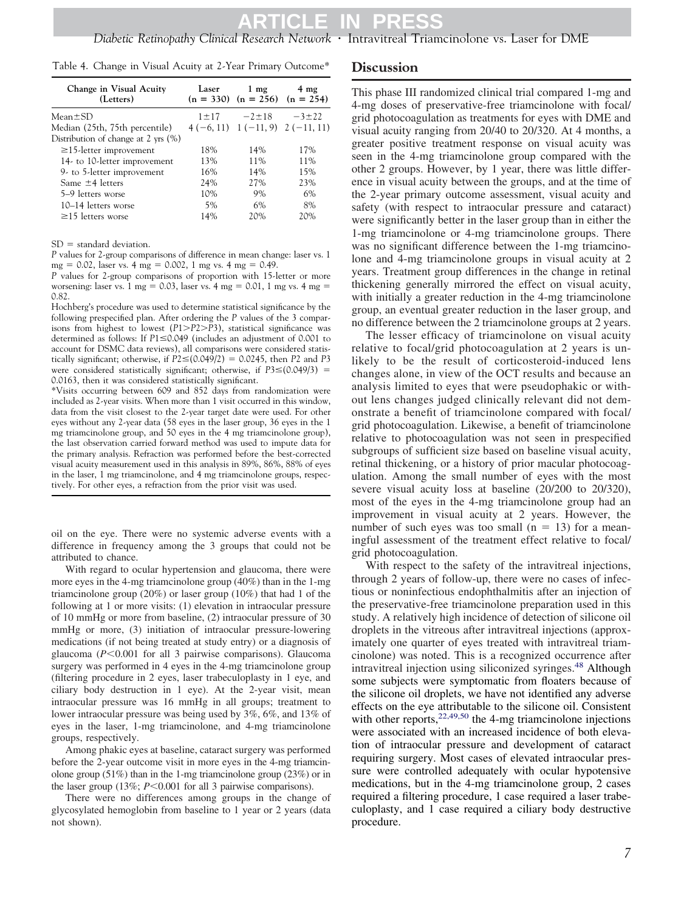<span id="page-6-0"></span>

|  | Table 4. Change in Visual Acuity at 2-Year Primary Outcome* |  |  |  |  |  |
|--|-------------------------------------------------------------|--|--|--|--|--|
|--|-------------------------------------------------------------|--|--|--|--|--|

| Change in Visual Acuity<br>(Letters)            | Laser      | $1 \text{ mg}$<br>$(n = 330)$ $(n = 256)$ $(n = 254)$ | $4 \text{ mg}$                       |
|-------------------------------------------------|------------|-------------------------------------------------------|--------------------------------------|
| $Mean \pm SD$                                   | $1 \pm 17$ | $-2+18$                                               | $-3 \pm 22$                          |
| Median (25th, 75th percentile)                  |            |                                                       | $4(-6, 11)$ $1(-11, 9)$ $2(-11, 11)$ |
| Distribution of change at $2 \text{ yrs } (\%)$ |            |                                                       |                                      |
| $\geq$ 15-letter improvement                    | 18%        | 14%                                                   | 17%                                  |
| 14- to 10-letter improvement                    | 13%        | 11%                                                   | 11%                                  |
| 9- to 5-letter improvement                      | 16%        | 14%                                                   | 15%                                  |
| Same $±4$ letters                               | 24%        | 27%                                                   | 23%                                  |
| 5–9 letters worse                               | 10%        | 9%                                                    | 6%                                   |
| 10–14 letters worse                             | 5%         | 6%                                                    | 8%                                   |
| $\geq$ 15 letters worse                         | 14%        | 20%                                                   | 20%                                  |

 $SD =$  standard deviation.

*P* values for 2-group comparisons of difference in mean change: laser vs. 1  $mg = 0.02$ , laser vs. 4 mg = 0.002, 1 mg vs. 4 mg = 0.49.

*P* values for 2-group comparisons of proportion with 15-letter or more worsening: laser vs. 1 mg = 0.03, laser vs. 4 mg = 0.01, 1 mg vs. 4 mg = 0.82.

Hochberg's procedure was used to determine statistical significance by the following prespecified plan. After ordering the *P* values of the 3 comparisons from highest to lowest (*P*1*P*2*P*3), statistical significance was determined as follows: If *P*1≤0.049 (includes an adjustment of 0.001 to account for DSMC data reviews), all comparisons were considered statistically significant; otherwise, if  $P2 \le (0.049/2) = 0.0245$ , then P2 and P3 were considered statistically significant; otherwise, if  $P3 \leq (0.049/3)$  = 0.0163, then it was considered statistically significant.

\*Visits occurring between 609 and 852 days from randomization were included as 2-year visits. When more than 1 visit occurred in this window, data from the visit closest to the 2-year target date were used. For other eyes without any 2-year data (58 eyes in the laser group, 36 eyes in the 1 mg triamcinolone group, and 50 eyes in the 4 mg triamcinolone group), the last observation carried forward method was used to impute data for the primary analysis. Refraction was performed before the best-corrected visual acuity measurement used in this analysis in 89%, 86%, 88% of eyes in the laser, 1 mg triamcinolone, and 4 mg triamcinolone groups, respectively. For other eyes, a refraction from the prior visit was used.

oil on the eye. There were no systemic adverse events with a difference in frequency among the 3 groups that could not be attributed to chance.

With regard to ocular hypertension and glaucoma, there were more eyes in the 4-mg triamcinolone group (40%) than in the 1-mg triamcinolone group (20%) or laser group (10%) that had 1 of the following at 1 or more visits: (1) elevation in intraocular pressure of 10 mmHg or more from baseline, (2) intraocular pressure of 30 mmHg or more, (3) initiation of intraocular pressure-lowering medications (if not being treated at study entry) or a diagnosis of glaucoma (*P*-0.001 for all 3 pairwise comparisons). Glaucoma surgery was performed in 4 eyes in the 4-mg triamcinolone group (filtering procedure in 2 eyes, laser trabeculoplasty in 1 eye, and ciliary body destruction in 1 eye). At the 2-year visit, mean intraocular pressure was 16 mmHg in all groups; treatment to lower intraocular pressure was being used by 3%, 6%, and 13% of eyes in the laser, 1-mg triamcinolone, and 4-mg triamcinolone groups, respectively.

Among phakic eyes at baseline, cataract surgery was performed before the 2-year outcome visit in more eyes in the 4-mg triamcinolone group (51%) than in the 1-mg triamcinolone group (23%) or in the laser group (13%; *P*-0.001 for all 3 pairwise comparisons).

There were no differences among groups in the change of glycosylated hemoglobin from baseline to 1 year or 2 years (data not shown).

#### **Discussion**

This phase III randomized clinical trial compared 1-mg and 4-mg doses of preservative-free triamcinolone with focal/ grid photocoagulation as treatments for eyes with DME and visual acuity ranging from 20/40 to 20/320. At 4 months, a greater positive treatment response on visual acuity was seen in the 4-mg triamcinolone group compared with the other 2 groups. However, by 1 year, there was little difference in visual acuity between the groups, and at the time of the 2-year primary outcome assessment, visual acuity and safety (with respect to intraocular pressure and cataract) were significantly better in the laser group than in either the 1-mg triamcinolone or 4-mg triamcinolone groups. There was no significant difference between the 1-mg triamcinolone and 4-mg triamcinolone groups in visual acuity at 2 years. Treatment group differences in the change in retinal thickening generally mirrored the effect on visual acuity, with initially a greater reduction in the 4-mg triamcinolone group, an eventual greater reduction in the laser group, and no difference between the 2 triamcinolone groups at 2 years.

The lesser efficacy of triamcinolone on visual acuity relative to focal/grid photocoagulation at 2 years is unlikely to be the result of corticosteroid-induced lens changes alone, in view of the OCT results and because an analysis limited to eyes that were pseudophakic or without lens changes judged clinically relevant did not demonstrate a benefit of triamcinolone compared with focal/ grid photocoagulation. Likewise, a benefit of triamcinolone relative to photocoagulation was not seen in prespecified subgroups of sufficient size based on baseline visual acuity, retinal thickening, or a history of prior macular photocoagulation. Among the small number of eyes with the most severe visual acuity loss at baseline (20/200 to 20/320), most of the eyes in the 4-mg triamcinolone group had an improvement in visual acuity at 2 years. However, the number of such eyes was too small  $(n = 13)$  for a meaningful assessment of the treatment effect relative to focal/ grid photocoagulation.

With respect to the safety of the intravitreal injections, through 2 years of follow-up, there were no cases of infectious or noninfectious endophthalmitis after an injection of the preservative-free triamcinolone preparation used in this study. A relatively high incidence of detection of silicone oil droplets in the vitreous after intravitreal injections (approximately one quarter of eyes treated with intravitreal triamcinolone) was noted. This is a recognized occurrence after intravitreal injection using siliconized syringes.<sup>[48](#page-12-0)</sup> Although some subjects were symptomatic from floaters because of the silicone oil droplets, we have not identified any adverse effects on the eye attributable to the silicone oil. Consistent with other reports,  $22,49,50$  the 4-mg triamcinolone injections were associated with an increased incidence of both elevation of intraocular pressure and development of cataract requiring surgery. Most cases of elevated intraocular pressure were controlled adequately with ocular hypotensive medications, but in the 4-mg triamcinolone group, 2 cases required a filtering procedure, 1 case required a laser trabeculoplasty, and 1 case required a ciliary body destructive procedure.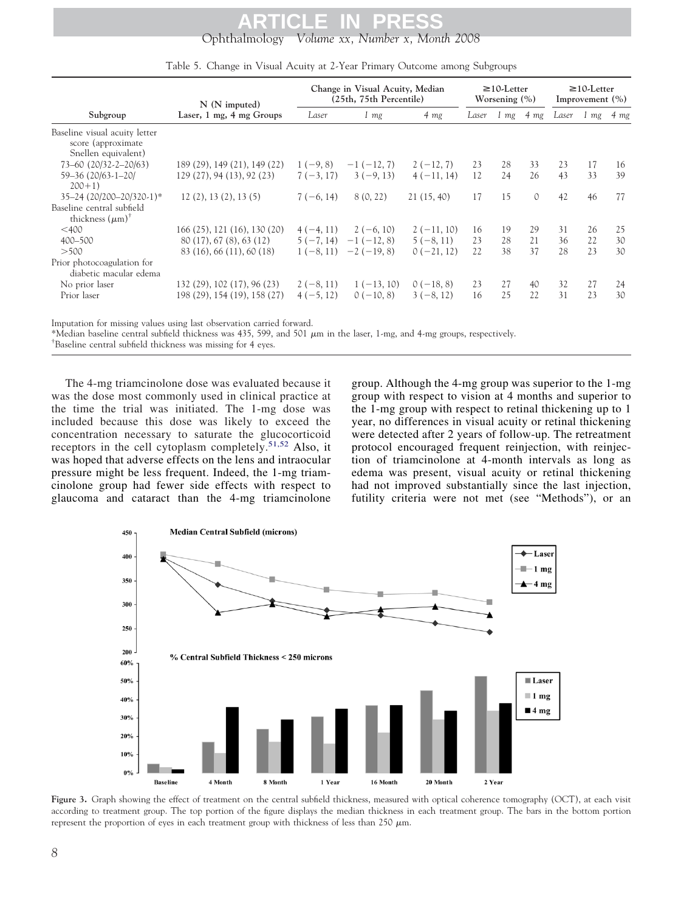## Ophthalmology *Volume xx, Number x, Month 2008* **ARTICLE IN PRESS**

<span id="page-7-0"></span>

|                              | Change in Visual Acuity, Median<br>(25th, 75th Percentile) |              |              | $\geq$ 10-Letter<br>Worsening $(\% )$ |           |               | $\geq$ 10-Letter<br>Improvement $(\% )$ |           |           |
|------------------------------|------------------------------------------------------------|--------------|--------------|---------------------------------------|-----------|---------------|-----------------------------------------|-----------|-----------|
| Laser, 1 mg, 4 mg Groups     | Laser                                                      | $1 \, mg$    | $4 \, mg$    | Laser                                 | $1 \, mg$ | $4 \, mg$     | Laser                                   | $1 \, mg$ | $4 \, mg$ |
|                              |                                                            |              |              |                                       |           |               |                                         |           |           |
| 189 (29), 149 (21), 149 (22) | $1(-9, 8)$                                                 | $-1(-12, 7)$ | $2(-12, 7)$  | 23                                    | 28        | 33            | 23                                      | 17        | 16        |
| 129 (27), 94 (13), 92 (23)   | $7(-3, 17)$                                                | $3(-9, 13)$  | $4(-11, 14)$ | 12                                    | 24        | 26            | 43                                      | 33        | 39        |
| 12(2), 13(2), 13(5)          | $7(-6, 14)$                                                | 8(0, 22)     | 21(15, 40)   | 17                                    | 15        | $\mathcal{O}$ | 42                                      | 46        | 77        |
|                              |                                                            |              |              |                                       |           |               |                                         |           |           |
| 166 (25), 121 (16), 130 (20) | $4(-4, 11)$                                                | $2(-6, 10)$  | $2(-11, 10)$ | 16                                    | 19        | 29            | 31                                      | 26        | 25        |
| 80 (17), 67 (8), 63 (12)     | $5(-7, 14)$                                                | $-1(-12, 8)$ | $5(-8, 11)$  | 23                                    | 28        | 21            | 36                                      | 22        | 30        |
| 83 (16), 66 (11), 60 (18)    | $1(-8, 11)$                                                | $-2(-19, 8)$ | $0(-21, 12)$ | 22                                    | 38        | 37            | 28                                      | 23        | 30        |
|                              |                                                            |              |              |                                       |           |               |                                         |           |           |
| 132 (29), 102 (17), 96 (23)  | $2(-8, 11)$                                                | $1(-13, 10)$ | $0(-18, 8)$  | 23                                    | 27        | 40            | 32                                      | 27        | 24        |
| 198 (29), 154 (19), 158 (27) | $4(-5, 12)$                                                | $0(-10, 8)$  | $3(-8, 12)$  | 16                                    | 25        | 22            | 31                                      | 23        | 30        |
|                              | $N(N)$ imputed)                                            |              |              |                                       |           |               |                                         |           |           |

Table 5. Change in Visual Acuity at 2-Year Primary Outcome among Subgroups

Imputation for missing values using last observation carried forward.

\*Median baseline central subfield thickness was 435, 599, and 501  $\mu$ m in the laser, 1-mg, and 4-mg groups, respectively.<br>†Baseline central subfield thickness was missing for 4 eyes

Baseline central subfield thickness was missing for 4 eyes.

The 4-mg triamcinolone dose was evaluated because it was the dose most commonly used in clinical practice at the time the trial was initiated. The 1-mg dose was included because this dose was likely to exceed the concentration necessary to saturate the glucocorticoid receptors in the cell cytoplasm completely.[51,52](#page-12-0) Also, it was hoped that adverse effects on the lens and intraocular pressure might be less frequent. Indeed, the 1-mg triamcinolone group had fewer side effects with respect to glaucoma and cataract than the 4-mg triamcinolone

group. Although the 4-mg group was superior to the 1-mg group with respect to vision at 4 months and superior to the 1-mg group with respect to retinal thickening up to 1 year, no differences in visual acuity or retinal thickening were detected after 2 years of follow-up. The retreatment protocol encouraged frequent reinjection, with reinjection of triamcinolone at 4-month intervals as long as edema was present, visual acuity or retinal thickening had not improved substantially since the last injection, futility criteria were not met (see "Methods"), or an



**Figure 3.** Graph showing the effect of treatment on the central subfield thickness, measured with optical coherence tomography (OCT), at each visit according to treatment group. The top portion of the figure displays the median thickness in each treatment group. The bars in the bottom portion represent the proportion of eyes in each treatment group with thickness of less than 250  $\mu$ m.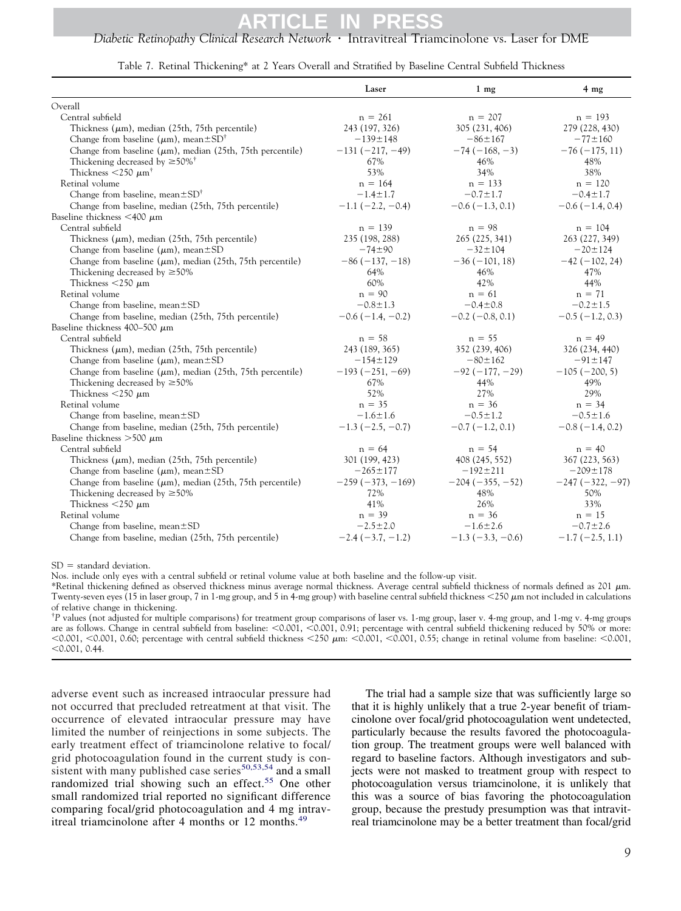## **ARTICLE IN PRESS**

*Diabetic Retinopathy Clinical Research Network* Intravitreal Triamcinolone vs. Laser for DME

Table 7. Retinal Thickening\* at 2 Years Overall and Stratified by Baseline Central Subfield Thickness

<span id="page-8-0"></span>

|                                                                 | Laser                      | $1$ mg                 | 4 <sub>mg</sub>        |
|-----------------------------------------------------------------|----------------------------|------------------------|------------------------|
| Overall                                                         |                            |                        |                        |
| Central subfield                                                | $n = 261$                  | $n = 207$              | $n = 193$              |
| Thickness $(\mu m)$ , median (25th, 75th percentile)            | 243 (197, 326)             | 305 (231, 406)         | 279 (228, 430)         |
| Change from baseline ( $\mu$ m), mean $\pm$ SD <sup>†</sup>     | $-139 \pm 148$             | $-86 \pm 167$          | $-77 \pm 160$          |
| Change from baseline $(\mu m)$ , median (25th, 75th percentile) | $-131(-217,-49)$           | $-74(-168,-3)$         | $-76(-175, 11)$        |
| Thickening decreased by $\geq 50\%$ <sup>†</sup>                | 67%                        | 46%                    | 48%                    |
| Thickness $\langle 250 \mu m^{\dagger}$                         | 53%                        | 34%                    | 38%                    |
| Retinal volume                                                  | $n = 164$                  | $n = 133$              | $n = 120$              |
| Change from baseline, mean $\pm SD^{\dagger}$                   | $-1.4 \pm 1.7$             | $-0.7 \pm 1.7$         | $-0.4 \pm 1.7$         |
| Change from baseline, median (25th, 75th percentile)            | $-1.1$ ( $-2.2, -0.4$ )    | $-0.6(-1.3, 0.1)$      | $-0.6$ ( $-1.4$ , 0.4) |
| Baseline thickness $\leq 400 \mu m$                             |                            |                        |                        |
| Central subfield                                                | $n = 139$                  | $n = 98$               | $n = 104$              |
| Thickness $(\mu m)$ , median (25th, 75th percentile)            | 235 (198, 288)             | 265 (225, 341)         | 263 (227, 349)         |
| Change from baseline $(\mu m)$ , mean $\pm SD$                  | $-74+90$                   | $-32 \pm 104$          | $-20 \pm 124$          |
| Change from baseline $(\mu m)$ , median (25th, 75th percentile) | $-86(-137, -18)$           | $-36(-101, 18)$        | $-42(-102, 24)$        |
| Thickening decreased by $\geq 50\%$                             | 64%                        | 46%                    | 47%                    |
| Thickness $<$ 250 $\mu$ m                                       | 60%                        | 42%                    | 44%                    |
| Retinal volume                                                  | $n = 90$                   | $n = 61$               | $n = 71$               |
| Change from baseline, mean $\pm$ SD                             | $-0.8 \pm 1.3$             | $-0.4 \pm 0.8$         | $-0.2 \pm 1.5$         |
| Change from baseline, median (25th, 75th percentile)            | $-0.6$ ( $-1.4$ , $-0.2$ ) | $-0.2$ ( $-0.8$ , 0.1) | $-0.5$ ( $-1.2, 0.3$ ) |
| Baseline thickness $400-500 \mu m$                              |                            |                        |                        |
| Central subfield                                                | $n = 58$                   | $n = 55$               | $n = 49$               |
| Thickness $(\mu m)$ , median (25th, 75th percentile)            | 243 (189, 365)             | 352 (239, 406)         | 326 (234, 440)         |
| Change from baseline $(\mu m)$ , mean $\pm SD$                  | $-154 \pm 129$             | $-80 \pm 162$          | $-91 \pm 147$          |
| Change from baseline $(\mu m)$ , median (25th, 75th percentile) | $-193(-251,-69)$           | $-92(-177, -29)$       | $-105(-200, 5)$        |
| Thickening decreased by $\geq 50\%$                             | 67%                        | 44%                    | 49%                    |
| Thickness $\lt$ 250 $\mu$ m                                     | 52%                        | 27%                    | 29%                    |
| Retinal volume                                                  | $n = 35$                   | $n = 36$               | $n = 34$               |
| Change from baseline, mean±SD                                   | $-1.6 \pm 1.6$             | $-0.5 \pm 1.2$         | $-0.5 \pm 1.6$         |
| Change from baseline, median (25th, 75th percentile)            | $-1.3(-2.5, -0.7)$         | $-0.7(-1.2, 0.1)$      | $-0.8$ ( $-1.4$ , 0.2) |
| Baseline thickness $>500 \mu m$                                 |                            |                        |                        |
| Central subfield                                                | $n = 64$                   | $n = 54$               | $n = 40$               |
| Thickness $(\mu m)$ , median (25th, 75th percentile)            | 301 (199, 423)             | 408 (245, 552)         | 367 (223, 563)         |
| Change from baseline $(\mu m)$ , mean $\pm SD$                  | $-265 \pm 177$             | $-192 \pm 211$         | $-209 \pm 178$         |
| Change from baseline $(\mu m)$ , median (25th, 75th percentile) | $-259(-373,-169)$          | $-204(-355, -52)$      | $-247(-322, -97)$      |
| Thickening decreased by $\geq 50\%$                             | 72%                        | 48%                    | 50%                    |
| Thickness $\lt$ 250 $\mu$ m                                     | 41%                        | 26%                    | 33%                    |
| Retinal volume                                                  | $n = 39$                   | $n = 36$               | $n = 15$               |
| Change from baseline, mean±SD                                   | $-2.5 \pm 2.0$             | $-1.6 \pm 2.6$         | $-0.7 \pm 2.6$         |
| Change from baseline, median (25th, 75th percentile)            | $-2.4(-3.7, -1.2)$         | $-1.3(-3.3, -0.6)$     | $-1.7(-2.5, 1.1)$      |

 $SD = standard deviation$ .

Nos. include only eyes with a central subfield or retinal volume value at both baseline and the follow-up visit.

\*Retinal thickening defined as observed thickness minus average normal thickness. Average central subfield thickness of normals defined as 201  $\mu$ m. Twenty-seven eyes (15 in laser group, 7 in 1-mg group, and 5 in 4-mg group) with baseline central subfield thickness <250  $\mu$ m not included in calculations of relative change in thickening.

<sup>†</sup>P values (not adjusted for multiple comparisons) for treatment group comparisons of laser vs. 1-mg group, laser v. 4-mg group, and 1-mg v. 4-mg groups are as follows. Change in central subfield from baseline: <0.001, <0.001, 0.91; percentage with central subfield thickening reduced by 50% or more:  $<$ 0.001,  $<$ 0.001, 0.60; percentage with central subfield thickness  $<$ 250  $\mu$ m:  $<$ 0.001,  $<$ 0.001, 0.55; change in retinal volume from baseline:  $<$ 0.001,  $<$  0.001, 0.44.

adverse event such as increased intraocular pressure had not occurred that precluded retreatment at that visit. The occurrence of elevated intraocular pressure may have limited the number of reinjections in some subjects. The early treatment effect of triamcinolone relative to focal/ grid photocoagulation found in the current study is consistent with many published case series $50,53,54$  and a small randomized trial showing such an effect.<sup>[55](#page-12-0)</sup> One other small randomized trial reported no significant difference comparing focal/grid photocoagulation and 4 mg intrav-itreal triamcinolone after 4 months or 12 months.<sup>[49](#page-12-0)</sup>

The trial had a sample size that was sufficiently large so that it is highly unlikely that a true 2-year benefit of triamcinolone over focal/grid photocoagulation went undetected, particularly because the results favored the photocoagulation group. The treatment groups were well balanced with regard to baseline factors. Although investigators and subjects were not masked to treatment group with respect to photocoagulation versus triamcinolone, it is unlikely that this was a source of bias favoring the photocoagulation group, because the prestudy presumption was that intravitreal triamcinolone may be a better treatment than focal/grid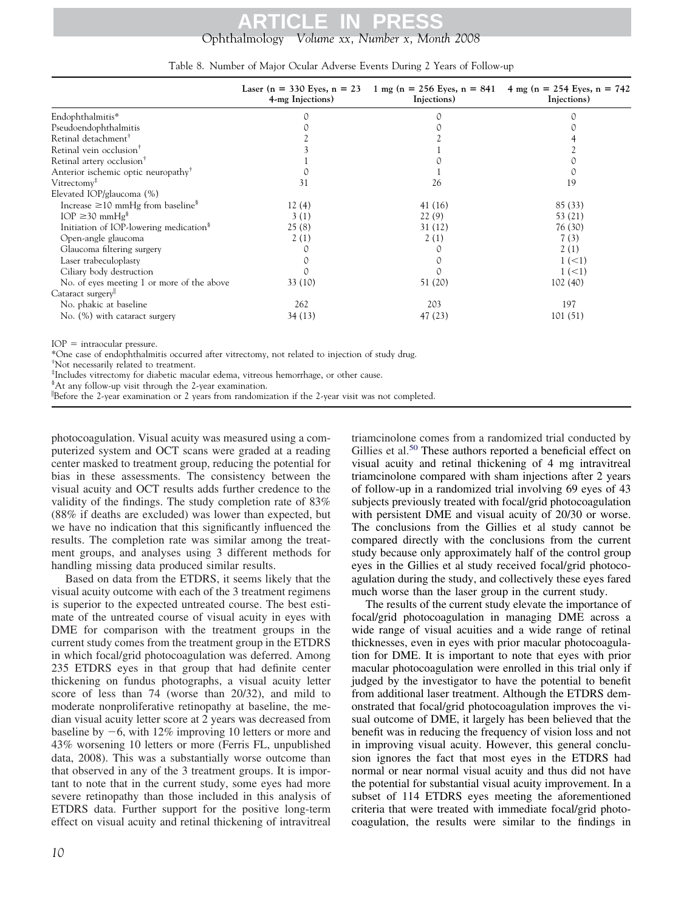<span id="page-9-0"></span>

|                                                    | 4-mg Injections) | Laser (n = 330 Eyes, n = 23 1 mg (n = 256 Eyes, n = 841 4 mg (n = 254 Eyes, n = 742<br>Injections) | Injections) |
|----------------------------------------------------|------------------|----------------------------------------------------------------------------------------------------|-------------|
| Endophthalmitis*                                   |                  |                                                                                                    |             |
| Pseudoendophthalmitis                              |                  |                                                                                                    |             |
| Retinal detachment <sup>†</sup>                    |                  |                                                                                                    |             |
| Retinal vein occlusion <sup>†</sup>                |                  |                                                                                                    |             |
| Retinal artery occlusion <sup>†</sup>              |                  |                                                                                                    |             |
| Anterior ischemic optic neuropathy <sup>T</sup>    |                  |                                                                                                    |             |
| $V$ itrectomy <sup><math>#</math></sup>            | 31               | 26                                                                                                 | 19          |
| Elevated IOP/glaucoma $(\%)$                       |                  |                                                                                                    |             |
| Increase $\geq$ 10 mmHg from baseline <sup>§</sup> | 12(4)            | 41 (16)                                                                                            | 85 (33)     |
| IOP $\geq$ 30 mmHg <sup>§</sup>                    | 3(1)             | 22(9)                                                                                              | 53 (21)     |
| Initiation of IOP-lowering medication <sup>§</sup> | 25(8)            | 31 (12)                                                                                            | 76 (30)     |
| Open-angle glaucoma                                | 2(1)             | 2(1)                                                                                               | 7(3)        |
| Glaucoma filtering surgery                         |                  |                                                                                                    | 2(1)        |
| Laser trabeculoplasty                              |                  |                                                                                                    | $1(-1)$     |
| Ciliary body destruction                           |                  |                                                                                                    | $1 (-1)$    |
| No. of eyes meeting 1 or more of the above         | 33 (10)          | 51 (20)                                                                                            | 102 (40)    |
| Cataract surgery                                   |                  |                                                                                                    |             |
| No. phakic at baseline                             | 262              | 203                                                                                                | 197         |
| No. (%) with cataract surgery                      | 34 (13)          | 47 (23)                                                                                            | 101(51)     |

 $IOP =$  intraocular pressure.

\*One case of endophthalmitis occurred after vitrectomy, not related to injection of study drug.

† Not necessarily related to treatment.

‡ Includes vitrectomy for diabetic macular edema, vitreous hemorrhage, or other cause.

§ At any follow-up visit through the 2-year examination.

Before the 2-year examination or 2 years from randomization if the 2-year visit was not completed.

photocoagulation. Visual acuity was measured using a computerized system and OCT scans were graded at a reading center masked to treatment group, reducing the potential for bias in these assessments. The consistency between the visual acuity and OCT results adds further credence to the validity of the findings. The study completion rate of 83% (88% if deaths are excluded) was lower than expected, but we have no indication that this significantly influenced the results. The completion rate was similar among the treatment groups, and analyses using 3 different methods for handling missing data produced similar results.

Based on data from the ETDRS, it seems likely that the visual acuity outcome with each of the 3 treatment regimens is superior to the expected untreated course. The best estimate of the untreated course of visual acuity in eyes with DME for comparison with the treatment groups in the current study comes from the treatment group in the ETDRS in which focal/grid photocoagulation was deferred. Among 235 ETDRS eyes in that group that had definite center thickening on fundus photographs, a visual acuity letter score of less than 74 (worse than 20/32), and mild to moderate nonproliferative retinopathy at baseline, the median visual acuity letter score at 2 years was decreased from baseline by  $-6$ , with 12% improving 10 letters or more and 43% worsening 10 letters or more (Ferris FL, unpublished data, 2008). This was a substantially worse outcome than that observed in any of the 3 treatment groups. It is important to note that in the current study, some eyes had more severe retinopathy than those included in this analysis of ETDRS data. Further support for the positive long-term effect on visual acuity and retinal thickening of intravitreal triamcinolone comes from a randomized trial conducted by Gillies et al.<sup>[50](#page-12-0)</sup> These authors reported a beneficial effect on visual acuity and retinal thickening of 4 mg intravitreal triamcinolone compared with sham injections after 2 years of follow-up in a randomized trial involving 69 eyes of 43 subjects previously treated with focal/grid photocoagulation with persistent DME and visual acuity of 20/30 or worse. The conclusions from the Gillies et al study cannot be compared directly with the conclusions from the current study because only approximately half of the control group eyes in the Gillies et al study received focal/grid photocoagulation during the study, and collectively these eyes fared much worse than the laser group in the current study.

The results of the current study elevate the importance of focal/grid photocoagulation in managing DME across a wide range of visual acuities and a wide range of retinal thicknesses, even in eyes with prior macular photocoagulation for DME. It is important to note that eyes with prior macular photocoagulation were enrolled in this trial only if judged by the investigator to have the potential to benefit from additional laser treatment. Although the ETDRS demonstrated that focal/grid photocoagulation improves the visual outcome of DME, it largely has been believed that the benefit was in reducing the frequency of vision loss and not in improving visual acuity. However, this general conclusion ignores the fact that most eyes in the ETDRS had normal or near normal visual acuity and thus did not have the potential for substantial visual acuity improvement. In a subset of 114 ETDRS eyes meeting the aforementioned criteria that were treated with immediate focal/grid photocoagulation, the results were similar to the findings in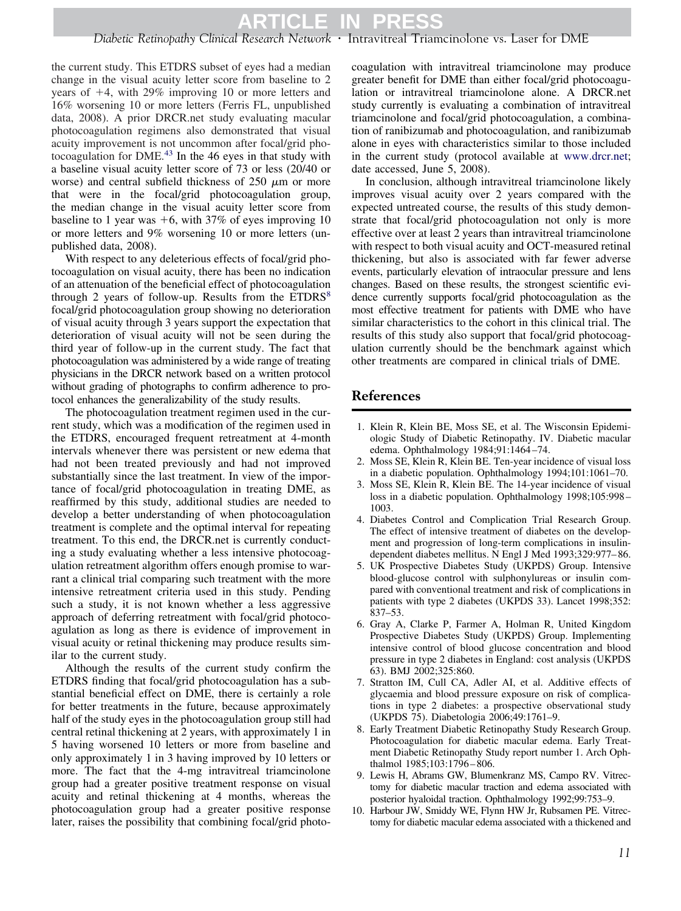<span id="page-10-0"></span>the current study. This ETDRS subset of eyes had a median change in the visual acuity letter score from baseline to 2 years of  $+4$ , with 29% improving 10 or more letters and 16% worsening 10 or more letters (Ferris FL, unpublished data, 2008). A prior DRCR.net study evaluating macular photocoagulation regimens also demonstrated that visual acuity improvement is not uncommon after focal/grid photocoagulation for DME.[43](#page-11-0) In the 46 eyes in that study with a baseline visual acuity letter score of 73 or less (20/40 or worse) and central subfield thickness of  $250 \mu m$  or more that were in the focal/grid photocoagulation group, the median change in the visual acuity letter score from baseline to 1 year was  $+6$ , with 37% of eyes improving 10 or more letters and 9% worsening 10 or more letters (unpublished data, 2008).

With respect to any deleterious effects of focal/grid photocoagulation on visual acuity, there has been no indication of an attenuation of the beneficial effect of photocoagulation through 2 years of follow-up. Results from the  $ETDRS<sup>8</sup>$ focal/grid photocoagulation group showing no deterioration of visual acuity through 3 years support the expectation that deterioration of visual acuity will not be seen during the third year of follow-up in the current study. The fact that photocoagulation was administered by a wide range of treating physicians in the DRCR network based on a written protocol without grading of photographs to confirm adherence to protocol enhances the generalizability of the study results.

The photocoagulation treatment regimen used in the current study, which was a modification of the regimen used in the ETDRS, encouraged frequent retreatment at 4-month intervals whenever there was persistent or new edema that had not been treated previously and had not improved substantially since the last treatment. In view of the importance of focal/grid photocoagulation in treating DME, as reaffirmed by this study, additional studies are needed to develop a better understanding of when photocoagulation treatment is complete and the optimal interval for repeating treatment. To this end, the DRCR.net is currently conducting a study evaluating whether a less intensive photocoagulation retreatment algorithm offers enough promise to warrant a clinical trial comparing such treatment with the more intensive retreatment criteria used in this study. Pending such a study, it is not known whether a less aggressive approach of deferring retreatment with focal/grid photocoagulation as long as there is evidence of improvement in visual acuity or retinal thickening may produce results similar to the current study.

Although the results of the current study confirm the ETDRS finding that focal/grid photocoagulation has a substantial beneficial effect on DME, there is certainly a role for better treatments in the future, because approximately half of the study eyes in the photocoagulation group still had central retinal thickening at 2 years, with approximately 1 in 5 having worsened 10 letters or more from baseline and only approximately 1 in 3 having improved by 10 letters or more. The fact that the 4-mg intravitreal triamcinolone group had a greater positive treatment response on visual acuity and retinal thickening at 4 months, whereas the photocoagulation group had a greater positive response later, raises the possibility that combining focal/grid photo-

coagulation with intravitreal triamcinolone may produce greater benefit for DME than either focal/grid photocoagulation or intravitreal triamcinolone alone. A DRCR.net study currently is evaluating a combination of intravitreal triamcinolone and focal/grid photocoagulation, a combination of ranibizumab and photocoagulation, and ranibizumab alone in eyes with characteristics similar to those included in the current study (protocol available at [www.drcr.net;](http://www.drcr.net) date accessed, June 5, 2008).

In conclusion, although intravitreal triamcinolone likely improves visual acuity over 2 years compared with the expected untreated course, the results of this study demonstrate that focal/grid photocoagulation not only is more effective over at least 2 years than intravitreal triamcinolone with respect to both visual acuity and OCT-measured retinal thickening, but also is associated with far fewer adverse events, particularly elevation of intraocular pressure and lens changes. Based on these results, the strongest scientific evidence currently supports focal/grid photocoagulation as the most effective treatment for patients with DME who have similar characteristics to the cohort in this clinical trial. The results of this study also support that focal/grid photocoagulation currently should be the benchmark against which other treatments are compared in clinical trials of DME.

## **References**

- 1. Klein R, Klein BE, Moss SE, et al. The Wisconsin Epidemiologic Study of Diabetic Retinopathy. IV. Diabetic macular edema. Ophthalmology 1984;91:1464–74.
- 2. Moss SE, Klein R, Klein BE. Ten-year incidence of visual loss in a diabetic population. Ophthalmology 1994;101:1061–70.
- 3. Moss SE, Klein R, Klein BE. The 14-year incidence of visual loss in a diabetic population. Ophthalmology 1998;105:998– 1003.
- 4. Diabetes Control and Complication Trial Research Group. The effect of intensive treatment of diabetes on the development and progression of long-term complications in insulindependent diabetes mellitus. N Engl J Med 1993;329:977–86.
- 5. UK Prospective Diabetes Study (UKPDS) Group. Intensive blood-glucose control with sulphonylureas or insulin compared with conventional treatment and risk of complications in patients with type 2 diabetes (UKPDS 33). Lancet 1998;352: 837–53.
- 6. Gray A, Clarke P, Farmer A, Holman R, United Kingdom Prospective Diabetes Study (UKPDS) Group. Implementing intensive control of blood glucose concentration and blood pressure in type 2 diabetes in England: cost analysis (UKPDS 63). BMJ 2002;325:860.
- 7. Stratton IM, Cull CA, Adler AI, et al. Additive effects of glycaemia and blood pressure exposure on risk of complications in type 2 diabetes: a prospective observational study (UKPDS 75). Diabetologia 2006;49:1761–9.
- 8. Early Treatment Diabetic Retinopathy Study Research Group. Photocoagulation for diabetic macular edema. Early Treatment Diabetic Retinopathy Study report number 1. Arch Ophthalmol 1985;103:1796–806.
- 9. Lewis H, Abrams GW, Blumenkranz MS, Campo RV. Vitrectomy for diabetic macular traction and edema associated with posterior hyaloidal traction. Ophthalmology 1992;99:753–9.
- 10. Harbour JW, Smiddy WE, Flynn HW Jr, Rubsamen PE. Vitrectomy for diabetic macular edema associated with a thickened and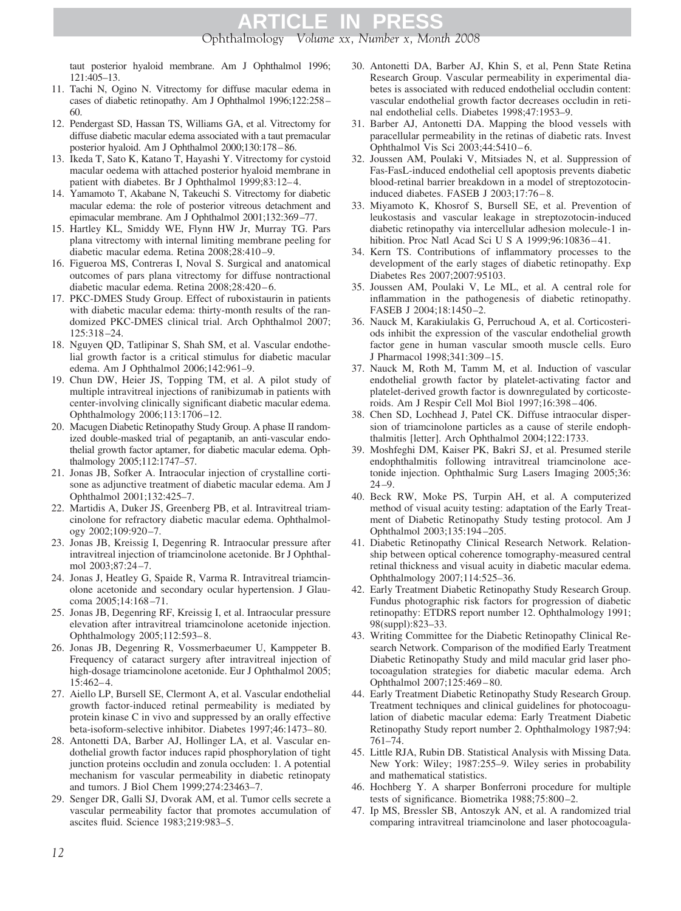<span id="page-11-0"></span>taut posterior hyaloid membrane. Am J Ophthalmol 1996; 121:405–13.

- 11. Tachi N, Ogino N. Vitrectomy for diffuse macular edema in cases of diabetic retinopathy. Am J Ophthalmol 1996;122:258– 60.
- 12. Pendergast SD, Hassan TS, Williams GA, et al. Vitrectomy for diffuse diabetic macular edema associated with a taut premacular posterior hyaloid. Am J Ophthalmol 2000;130:178–86.
- 13. Ikeda T, Sato K, Katano T, Hayashi Y. Vitrectomy for cystoid macular oedema with attached posterior hyaloid membrane in patient with diabetes. Br J Ophthalmol 1999;83:12–4.
- 14. Yamamoto T, Akabane N, Takeuchi S. Vitrectomy for diabetic macular edema: the role of posterior vitreous detachment and epimacular membrane. Am J Ophthalmol 2001;132:369–77.
- 15. Hartley KL, Smiddy WE, Flynn HW Jr, Murray TG. Pars plana vitrectomy with internal limiting membrane peeling for diabetic macular edema. Retina 2008;28:410–9.
- 16. Figueroa MS, Contreras I, Noval S. Surgical and anatomical outcomes of pars plana vitrectomy for diffuse nontractional diabetic macular edema. Retina 2008;28:420–6.
- 17. PKC-DMES Study Group. Effect of ruboxistaurin in patients with diabetic macular edema: thirty-month results of the randomized PKC-DMES clinical trial. Arch Ophthalmol 2007; 125:318–24.
- 18. Nguyen QD, Tatlipinar S, Shah SM, et al. Vascular endothelial growth factor is a critical stimulus for diabetic macular edema. Am J Ophthalmol 2006;142:961–9.
- 19. Chun DW, Heier JS, Topping TM, et al. A pilot study of multiple intravitreal injections of ranibizumab in patients with center-involving clinically significant diabetic macular edema. Ophthalmology 2006;113:1706–12.
- 20. Macugen Diabetic Retinopathy Study Group. A phase II randomized double-masked trial of pegaptanib, an anti-vascular endothelial growth factor aptamer, for diabetic macular edema. Ophthalmology 2005;112:1747–57.
- 21. Jonas JB, Sofker A. Intraocular injection of crystalline cortisone as adjunctive treatment of diabetic macular edema. Am J Ophthalmol 2001;132:425–7.
- 22. Martidis A, Duker JS, Greenberg PB, et al. Intravitreal triamcinolone for refractory diabetic macular edema. Ophthalmology 2002;109:920–7.
- 23. Jonas JB, Kreissig I, Degenring R. Intraocular pressure after intravitreal injection of triamcinolone acetonide. Br J Ophthalmol 2003;87:24–7.
- 24. Jonas J, Heatley G, Spaide R, Varma R. Intravitreal triamcinolone acetonide and secondary ocular hypertension. J Glaucoma 2005;14:168–71.
- 25. Jonas JB, Degenring RF, Kreissig I, et al. Intraocular pressure elevation after intravitreal triamcinolone acetonide injection. Ophthalmology 2005;112:593–8.
- 26. Jonas JB, Degenring R, Vossmerbaeumer U, Kamppeter B. Frequency of cataract surgery after intravitreal injection of high-dosage triamcinolone acetonide. Eur J Ophthalmol 2005; 15:462–4.
- 27. Aiello LP, Bursell SE, Clermont A, et al. Vascular endothelial growth factor-induced retinal permeability is mediated by protein kinase C in vivo and suppressed by an orally effective beta-isoform-selective inhibitor. Diabetes 1997;46:1473–80.
- 28. Antonetti DA, Barber AJ, Hollinger LA, et al. Vascular endothelial growth factor induces rapid phosphorylation of tight junction proteins occludin and zonula occluden: 1. A potential mechanism for vascular permeability in diabetic retinopaty and tumors. J Biol Chem 1999;274:23463–7.
- 29. Senger DR, Galli SJ, Dvorak AM, et al. Tumor cells secrete a vascular permeability factor that promotes accumulation of ascites fluid. Science 1983;219:983–5.
- 30. Antonetti DA, Barber AJ, Khin S, et al, Penn State Retina Research Group. Vascular permeability in experimental diabetes is associated with reduced endothelial occludin content: vascular endothelial growth factor decreases occludin in retinal endothelial cells. Diabetes 1998;47:1953–9.
- 31. Barber AJ, Antonetti DA. Mapping the blood vessels with paracellular permeability in the retinas of diabetic rats. Invest Ophthalmol Vis Sci 2003;44:5410–6.
- 32. Joussen AM, Poulaki V, Mitsiades N, et al. Suppression of Fas-FasL-induced endothelial cell apoptosis prevents diabetic blood-retinal barrier breakdown in a model of streptozotocininduced diabetes. FASEB J 2003;17:76–8.
- 33. Miyamoto K, Khosrof S, Bursell SE, et al. Prevention of leukostasis and vascular leakage in streptozotocin-induced diabetic retinopathy via intercellular adhesion molecule-1 inhibition. Proc Natl Acad Sci U S A 1999;96:10836-41.
- 34. Kern TS. Contributions of inflammatory processes to the development of the early stages of diabetic retinopathy. Exp Diabetes Res 2007;2007:95103.
- 35. Joussen AM, Poulaki V, Le ML, et al. A central role for inflammation in the pathogenesis of diabetic retinopathy. FASEB J 2004;18:1450–2.
- 36. Nauck M, Karakiulakis G, Perruchoud A, et al. Corticosteriods inhibit the expression of the vascular endothelial growth factor gene in human vascular smooth muscle cells. Euro J Pharmacol 1998;341:309–15.
- 37. Nauck M, Roth M, Tamm M, et al. Induction of vascular endothelial growth factor by platelet-activating factor and platelet-derived growth factor is downregulated by corticosteroids. Am J Respir Cell Mol Biol 1997;16:398–406.
- 38. Chen SD, Lochhead J, Patel CK. Diffuse intraocular dispersion of triamcinolone particles as a cause of sterile endophthalmitis [letter]. Arch Ophthalmol 2004;122:1733.
- 39. Moshfeghi DM, Kaiser PK, Bakri SJ, et al. Presumed sterile endophthalmitis following intravitreal triamcinolone acetonide injection. Ophthalmic Surg Lasers Imaging 2005;36: 24–9.
- 40. Beck RW, Moke PS, Turpin AH, et al. A computerized method of visual acuity testing: adaptation of the Early Treatment of Diabetic Retinopathy Study testing protocol. Am J Ophthalmol 2003;135:194–205.
- 41. Diabetic Retinopathy Clinical Research Network. Relationship between optical coherence tomography-measured central retinal thickness and visual acuity in diabetic macular edema. Ophthalmology 2007;114:525–36.
- 42. Early Treatment Diabetic Retinopathy Study Research Group. Fundus photographic risk factors for progression of diabetic retinopathy: ETDRS report number 12. Ophthalmology 1991; 98(suppl):823–33.
- 43. Writing Committee for the Diabetic Retinopathy Clinical Research Network. Comparison of the modified Early Treatment Diabetic Retinopathy Study and mild macular grid laser photocoagulation strategies for diabetic macular edema. Arch Ophthalmol 2007;125:469–80.
- 44. Early Treatment Diabetic Retinopathy Study Research Group. Treatment techniques and clinical guidelines for photocoagulation of diabetic macular edema: Early Treatment Diabetic Retinopathy Study report number 2. Ophthalmology 1987;94: 761–74.
- 45. Little RJA, Rubin DB. Statistical Analysis with Missing Data. New York: Wiley; 1987:255–9. Wiley series in probability and mathematical statistics.
- 46. Hochberg Y. A sharper Bonferroni procedure for multiple tests of significance. Biometrika 1988;75:800–2.
- 47. Ip MS, Bressler SB, Antoszyk AN, et al. A randomized trial comparing intravitreal triamcinolone and laser photocoagula-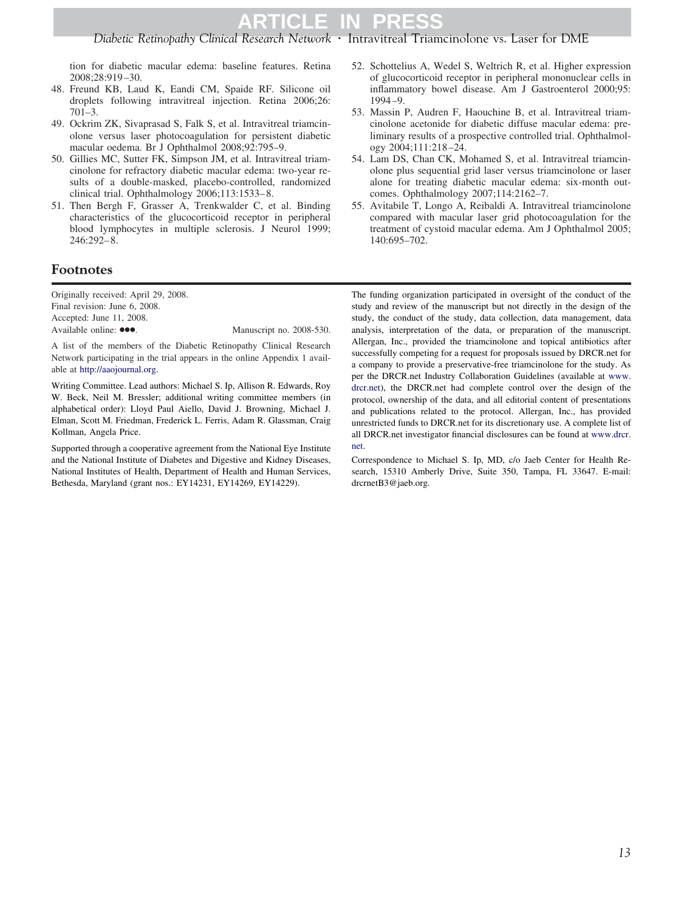<span id="page-12-0"></span>tion for diabetic macular edema: baseline features. Retina 2008;28:919–30.

- 48. Freund KB, Laud K, Eandi CM, Spaide RF. Silicone oil droplets following intravitreal injection. Retina 2006;26: 701–3.
- 49. Ockrim ZK, Sivaprasad S, Falk S, et al. Intravitreal triamcinolone versus laser photocoagulation for persistent diabetic macular oedema. Br J Ophthalmol 2008;92:795–9.
- 50. Gillies MC, Sutter FK, Simpson JM, et al. Intravitreal triamcinolone for refractory diabetic macular edema: two-year results of a double-masked, placebo-controlled, randomized clinical trial. Ophthalmology 2006;113:1533–8.
- 51. Then Bergh F, Grasser A, Trenkwalder C, et al. Binding characteristics of the glucocorticoid receptor in peripheral blood lymphocytes in multiple sclerosis. J Neurol 1999; 246:292–8.

## **Footnotes**

Originally received: April 29, 2008. Final revision: June 6, 2008. Accepted: June 11, 2008. Available online:  $\bullet \bullet \bullet$ . Manuscript no. 2008-530.

A list of the members of the Diabetic Retinopathy Clinical Research Network participating in the trial appears in the online Appendix 1 available at [http://aaojournal.org.](http://aaojournal.org)

Writing Committee. Lead authors: Michael S. Ip, Allison R. Edwards, Roy W. Beck, Neil M. Bressler; additional writing committee members (in alphabetical order): Lloyd Paul Aiello, David J. Browning, Michael J. Elman, Scott M. Friedman, Frederick L. Ferris, Adam R. Glassman, Craig Kollman, Angela Price.

Supported through a cooperative agreement from the National Eye Institute and the National Institute of Diabetes and Digestive and Kidney Diseases, National Institutes of Health, Department of Health and Human Services, Bethesda, Maryland (grant nos.: EY14231, EY14269, EY14229).

- 52. Schottelius A, Wedel S, Weltrich R, et al. Higher expression of glucocorticoid receptor in peripheral mononuclear cells in inflammatory bowel disease. Am J Gastroenterol 2000;95: 1994–9.
- 53. Massin P, Audren F, Haouchine B, et al. Intravitreal triamcinolone acetonide for diabetic diffuse macular edema: preliminary results of a prospective controlled trial. Ophthalmology 2004;111:218–24.
- 54. Lam DS, Chan CK, Mohamed S, et al. Intravitreal triamcinolone plus sequential grid laser versus triamcinolone or laser alone for treating diabetic macular edema: six-month outcomes. Ophthalmology 2007;114:2162–7.
- 55. Avitabile T, Longo A, Reibaldi A. Intravitreal triamcinolone compared with macular laser grid photocoagulation for the treatment of cystoid macular edema. Am J Ophthalmol 2005; 140:695–702.

The funding organization participated in oversight of the conduct of the study and review of the manuscript but not directly in the design of the study, the conduct of the study, data collection, data management, data analysis, interpretation of the data, or preparation of the manuscript. Allergan, Inc., provided the triamcinolone and topical antibiotics after successfully competing for a request for proposals issued by DRCR.net for a company to provide a preservative-free triamcinolone for the study. As per the DRCR.net Industry Collaboration Guidelines (available at [www.](http://www.drcr.net) [drcr.net\)](http://www.drcr.net), the DRCR.net had complete control over the design of the protocol, ownership of the data, and all editorial content of presentations and publications related to the protocol. Allergan, Inc., has provided unrestricted funds to DRCR.net for its discretionary use. A complete list of all DRCR.net investigator financial disclosures can be found at [www.drcr.](http://www.drcr.net) [net.](http://www.drcr.net)

Correspondence to Michael S. Ip, MD, c/o Jaeb Center for Health Research, 15310 Amberly Drive, Suite 350, Tampa, FL 33647. E-mail: drcrnetB3@jaeb.org.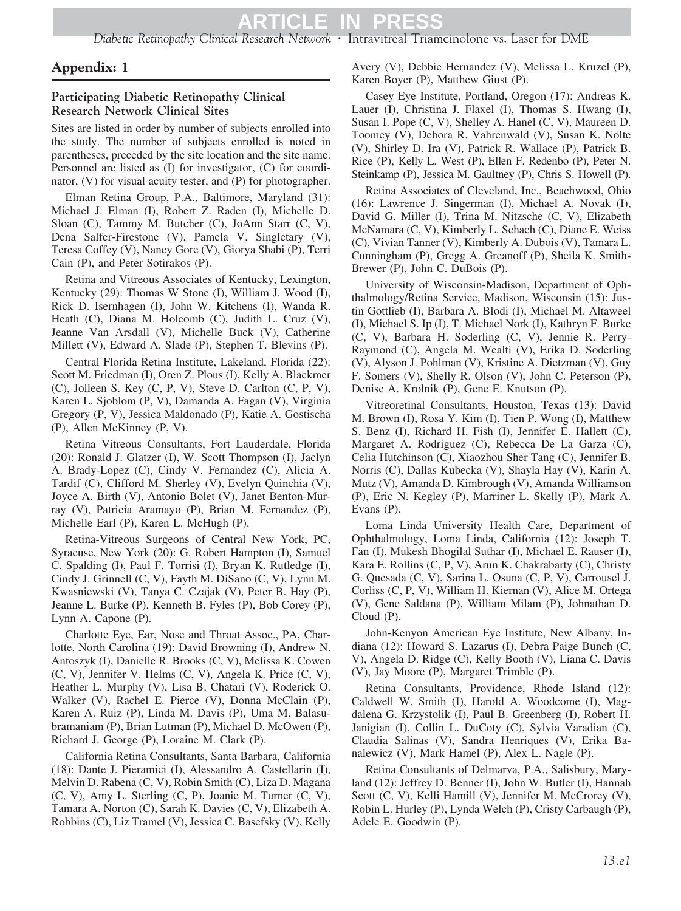## **Appendix: 1**

#### **Participating Diabetic Retinopathy Clinical Research Network Clinical Sites**

Sites are listed in order by number of subjects enrolled into the study. The number of subjects enrolled is noted in parentheses, preceded by the site location and the site name. Personnel are listed as (I) for investigator, (C) for coordinator, (V) for visual acuity tester, and (P) for photographer.

Elman Retina Group, P.A., Baltimore, Maryland (31): Michael J. Elman (I), Robert Z. Raden (I), Michelle D. Sloan (C), Tammy M. Butcher (C), JoAnn Starr (C, V), Dena Salfer-Firestone (V), Pamela V. Singletary (V), Teresa Coffey (V), Nancy Gore (V), Giorya Shabi (P), Terri Cain (P), and Peter Sotirakos (P).

Retina and Vitreous Associates of Kentucky, Lexington, Kentucky (29): Thomas W Stone (I), William J. Wood (I), Rick D. Isernhagen (I), John W. Kitchens (I), Wanda R. Heath (C), Diana M. Holcomb (C), Judith L. Cruz (V), Jeanne Van Arsdall (V), Michelle Buck (V), Catherine Millett (V), Edward A. Slade (P), Stephen T. Blevins (P).

Central Florida Retina Institute, Lakeland, Florida (22): Scott M. Friedman (I), Oren Z. Plous (I), Kelly A. Blackmer (C), Jolleen S. Key (C, P, V), Steve D. Carlton (C, P, V), Karen L. Sjoblom (P, V), Damanda A. Fagan (V), Virginia Gregory (P, V), Jessica Maldonado (P), Katie A. Gostischa (P), Allen McKinney (P, V).

Retina Vitreous Consultants, Fort Lauderdale, Florida (20): Ronald J. Glatzer (I), W. Scott Thompson (I), Jaclyn A. Brady-Lopez (C), Cindy V. Fernandez (C), Alicia A. Tardif (C), Clifford M. Sherley (V), Evelyn Quinchia (V), Joyce A. Birth (V), Antonio Bolet (V), Janet Benton-Murray (V), Patricia Aramayo (P), Brian M. Fernandez (P), Michelle Earl (P), Karen L. McHugh (P).

Retina-Vitreous Surgeons of Central New York, PC, Syracuse, New York (20): G. Robert Hampton (I), Samuel C. Spalding (I), Paul F. Torrisi (I), Bryan K. Rutledge (I), Cindy J. Grinnell (C, V), Fayth M. DiSano (C, V), Lynn M. Kwasniewski (V), Tanya C. Czajak (V), Peter B. Hay (P), Jeanne L. Burke (P), Kenneth B. Fyles (P), Bob Corey (P), Lynn A. Capone (P).

Charlotte Eye, Ear, Nose and Throat Assoc., PA, Charlotte, North Carolina (19): David Browning (I), Andrew N. Antoszyk (I), Danielle R. Brooks (C, V), Melissa K. Cowen (C, V), Jennifer V. Helms (C, V), Angela K. Price (C, V), Heather L. Murphy (V), Lisa B. Chatari (V), Roderick O. Walker (V), Rachel E. Pierce (V), Donna McClain (P), Karen A. Ruiz (P), Linda M. Davis (P), Uma M. Balasubramaniam (P), Brian Lutman (P), Michael D. McOwen (P), Richard J. George (P), Loraine M. Clark (P).

California Retina Consultants, Santa Barbara, California (18): Dante J. Pieramici (I), Alessandro A. Castellarin (I), Melvin D. Rabena (C, V), Robin Smith (C), Liza D. Magana (C, V), Amy L. Sterling (C, P), Joanie M. Turner (C, V), Tamara A. Norton (C), Sarah K. Davies (C, V), Elizabeth A. Robbins (C), Liz Tramel (V), Jessica C. Basefsky (V), Kelly Avery (V), Debbie Hernandez (V), Melissa L. Kruzel (P), Karen Boyer (P), Matthew Giust (P).

Casey Eye Institute, Portland, Oregon (17): Andreas K. Lauer (I), Christina J. Flaxel (I), Thomas S. Hwang (I), Susan I. Pope (C, V), Shelley A. Hanel (C, V), Maureen D. Toomey (V), Debora R. Vahrenwald (V), Susan K. Nolte (V), Shirley D. Ira (V), Patrick R. Wallace (P), Patrick B. Rice (P), Kelly L. West (P), Ellen F. Redenbo (P), Peter N. Steinkamp (P), Jessica M. Gaultney (P), Chris S. Howell (P).

Retina Associates of Cleveland, Inc., Beachwood, Ohio (16): Lawrence J. Singerman (I), Michael A. Novak (I), David G. Miller (I), Trina M. Nitzsche (C, V), Elizabeth McNamara (C, V), Kimberly L. Schach (C), Diane E. Weiss (C), Vivian Tanner (V), Kimberly A. Dubois (V), Tamara L. Cunningham (P), Gregg A. Greanoff (P), Sheila K. Smith-Brewer (P), John C. DuBois (P).

University of Wisconsin-Madison, Department of Ophthalmology/Retina Service, Madison, Wisconsin (15): Justin Gottlieb (I), Barbara A. Blodi (I), Michael M. Altaweel (I), Michael S. Ip (I), T. Michael Nork (I), Kathryn F. Burke (C, V), Barbara H. Soderling (C, V), Jennie R. Perry-Raymond (C), Angela M. Wealti (V), Erika D. Soderling (V), Alyson J. Pohlman (V), Kristine A. Dietzman (V), Guy F. Somers (V), Shelly R. Olson (V), John C. Peterson (P), Denise A. Krolnik (P), Gene E. Knutson (P).

Vitreoretinal Consultants, Houston, Texas (13): David M. Brown (I), Rosa Y. Kim (I), Tien P. Wong (I), Matthew S. Benz (I), Richard H. Fish (I), Jennifer E. Hallett (C), Margaret A. Rodriguez (C), Rebecca De La Garza (C), Celia Hutchinson (C), Xiaozhou Sher Tang (C), Jennifer B. Norris (C), Dallas Kubecka (V), Shayla Hay (V), Karin A. Mutz (V), Amanda D. Kimbrough (V), Amanda Williamson (P), Eric N. Kegley (P), Marriner L. Skelly (P), Mark A. Evans (P).

Loma Linda University Health Care, Department of Ophthalmology, Loma Linda, California (12): Joseph T. Fan (I), Mukesh Bhogilal Suthar (I), Michael E. Rauser (I), Kara E. Rollins (C, P, V), Arun K. Chakrabarty (C), Christy G. Quesada (C, V), Sarina L. Osuna (C, P, V), Carrousel J. Corliss (C, P, V), William H. Kiernan (V), Alice M. Ortega (V), Gene Saldana (P), William Milam (P), Johnathan D. Cloud (P).

John-Kenyon American Eye Institute, New Albany, Indiana (12): Howard S. Lazarus (I), Debra Paige Bunch (C, V), Angela D. Ridge (C), Kelly Booth (V), Liana C. Davis (V), Jay Moore (P), Margaret Trimble (P).

Retina Consultants, Providence, Rhode Island (12): Caldwell W. Smith (I), Harold A. Woodcome (I), Magdalena G. Krzystolik (I), Paul B. Greenberg (I), Robert H. Janigian (I), Collin L. DuCoty (C), Sylvia Varadian (C), Claudia Salinas (V), Sandra Henriques (V), Erika Banalewicz (V), Mark Hamel (P), Alex L. Nagle (P).

Retina Consultants of Delmarva, P.A., Salisbury, Maryland (12): Jeffrey D. Benner (I), John W. Butler (I), Hannah Scott (C, V), Kelli Hamill (V), Jennifer M. McCrorey (V), Robin L. Hurley (P), Lynda Welch (P), Cristy Carbaugh (P), Adele E. Goodwin (P).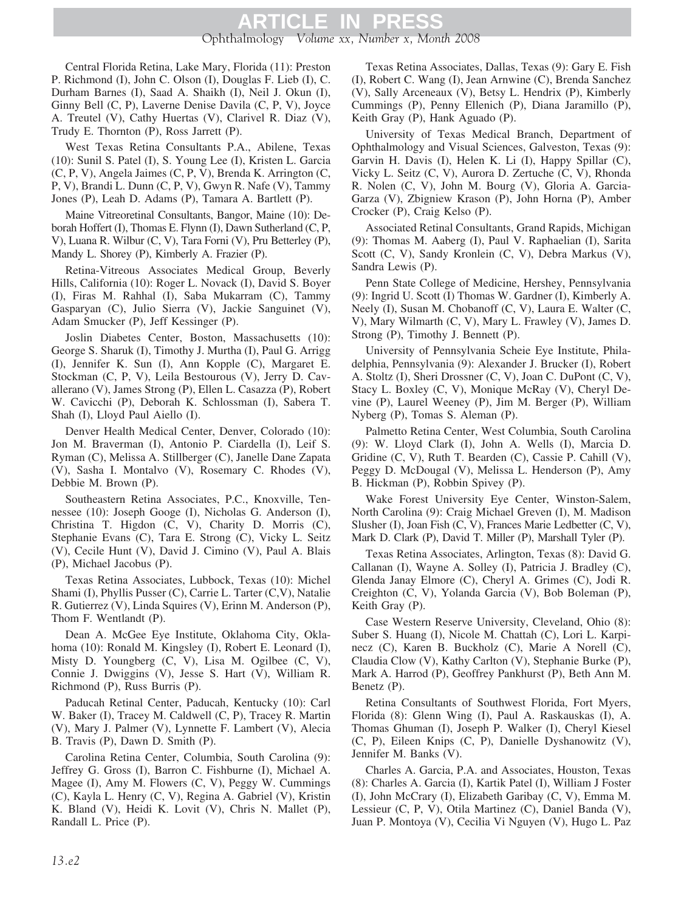## Ophthalmology *Volume xx, Number x, Month 2008* **ARTICLE IN PRESS**

Central Florida Retina, Lake Mary, Florida (11): Preston P. Richmond (I), John C. Olson (I), Douglas F. Lieb (I), C. Durham Barnes (I), Saad A. Shaikh (I), Neil J. Okun (I), Ginny Bell (C, P), Laverne Denise Davila (C, P, V), Joyce A. Treutel (V), Cathy Huertas (V), Clarivel R. Diaz (V), Trudy E. Thornton (P), Ross Jarrett (P).

West Texas Retina Consultants P.A., Abilene, Texas (10): Sunil S. Patel (I), S. Young Lee (I), Kristen L. Garcia (C, P, V), Angela Jaimes (C, P, V), Brenda K. Arrington (C, P, V), Brandi L. Dunn (C, P, V), Gwyn R. Nafe (V), Tammy Jones (P), Leah D. Adams (P), Tamara A. Bartlett (P).

Maine Vitreoretinal Consultants, Bangor, Maine (10): Deborah Hoffert (I), Thomas E. Flynn (I), Dawn Sutherland (C, P, V), Luana R. Wilbur (C, V), Tara Forni (V), Pru Betterley (P), Mandy L. Shorey (P), Kimberly A. Frazier (P).

Retina-Vitreous Associates Medical Group, Beverly Hills, California (10): Roger L. Novack (I), David S. Boyer (I), Firas M. Rahhal (I), Saba Mukarram (C), Tammy Gasparyan (C), Julio Sierra (V), Jackie Sanguinet (V), Adam Smucker (P), Jeff Kessinger (P).

Joslin Diabetes Center, Boston, Massachusetts (10): George S. Sharuk (I), Timothy J. Murtha (I), Paul G. Arrigg (I), Jennifer K. Sun (I), Ann Kopple (C), Margaret E. Stockman (C, P, V), Leila Bestourous (V), Jerry D. Cavallerano (V), James Strong (P), Ellen L. Casazza (P), Robert W. Cavicchi (P), Deborah K. Schlossman (I), Sabera T. Shah (I), Lloyd Paul Aiello (I).

Denver Health Medical Center, Denver, Colorado (10): Jon M. Braverman (I), Antonio P. Ciardella (I), Leif S. Ryman (C), Melissa A. Stillberger (C), Janelle Dane Zapata (V), Sasha I. Montalvo (V), Rosemary C. Rhodes (V), Debbie M. Brown (P).

Southeastern Retina Associates, P.C., Knoxville, Tennessee (10): Joseph Googe (I), Nicholas G. Anderson (I), Christina T. Higdon (C, V), Charity D. Morris (C), Stephanie Evans (C), Tara E. Strong (C), Vicky L. Seitz (V), Cecile Hunt (V), David J. Cimino (V), Paul A. Blais (P), Michael Jacobus (P).

Texas Retina Associates, Lubbock, Texas (10): Michel Shami (I), Phyllis Pusser (C), Carrie L. Tarter (C,V), Natalie R. Gutierrez (V), Linda Squires (V), Erinn M. Anderson (P), Thom F. Wentlandt (P).

Dean A. McGee Eye Institute, Oklahoma City, Oklahoma (10): Ronald M. Kingsley (I), Robert E. Leonard (I), Misty D. Youngberg (C, V), Lisa M. Ogilbee (C, V), Connie J. Dwiggins (V), Jesse S. Hart (V), William R. Richmond (P), Russ Burris (P).

Paducah Retinal Center, Paducah, Kentucky (10): Carl W. Baker (I), Tracey M. Caldwell (C, P), Tracey R. Martin (V), Mary J. Palmer (V), Lynnette F. Lambert (V), Alecia B. Travis (P), Dawn D. Smith (P).

Carolina Retina Center, Columbia, South Carolina (9): Jeffrey G. Gross (I), Barron C. Fishburne (I), Michael A. Magee (I), Amy M. Flowers (C, V), Peggy W. Cummings (C), Kayla L. Henry (C, V), Regina A. Gabriel (V), Kristin K. Bland (V), Heidi K. Lovit (V), Chris N. Mallet (P), Randall L. Price (P).

Texas Retina Associates, Dallas, Texas (9): Gary E. Fish (I), Robert C. Wang (I), Jean Arnwine (C), Brenda Sanchez (V), Sally Arceneaux (V), Betsy L. Hendrix (P), Kimberly Cummings (P), Penny Ellenich (P), Diana Jaramillo (P), Keith Gray (P), Hank Aguado (P).

University of Texas Medical Branch, Department of Ophthalmology and Visual Sciences, Galveston, Texas (9): Garvin H. Davis (I), Helen K. Li (I), Happy Spillar (C), Vicky L. Seitz (C, V), Aurora D. Zertuche (C, V), Rhonda R. Nolen (C, V), John M. Bourg (V), Gloria A. Garcia-Garza (V), Zbigniew Krason (P), John Horna (P), Amber Crocker (P), Craig Kelso (P).

Associated Retinal Consultants, Grand Rapids, Michigan (9): Thomas M. Aaberg (I), Paul V. Raphaelian (I), Sarita Scott (C, V), Sandy Kronlein (C, V), Debra Markus (V), Sandra Lewis (P).

Penn State College of Medicine, Hershey, Pennsylvania (9): Ingrid U. Scott (I) Thomas W. Gardner (I), Kimberly A. Neely (I), Susan M. Chobanoff (C, V), Laura E. Walter (C, V), Mary Wilmarth (C, V), Mary L. Frawley (V), James D. Strong (P), Timothy J. Bennett (P).

University of Pennsylvania Scheie Eye Institute, Philadelphia, Pennsylvania (9): Alexander J. Brucker (I), Robert A. Stoltz (I), Sheri Drossner (C, V), Joan C. DuPont (C, V), Stacy L. Boxley (C, V), Monique McRay (V), Cheryl Devine (P), Laurel Weeney (P), Jim M. Berger (P), William Nyberg (P), Tomas S. Aleman (P).

Palmetto Retina Center, West Columbia, South Carolina (9): W. Lloyd Clark (I), John A. Wells (I), Marcia D. Gridine (C, V), Ruth T. Bearden (C), Cassie P. Cahill (V), Peggy D. McDougal (V), Melissa L. Henderson (P), Amy B. Hickman (P), Robbin Spivey (P).

Wake Forest University Eye Center, Winston-Salem, North Carolina (9): Craig Michael Greven (I), M. Madison Slusher (I), Joan Fish (C, V), Frances Marie Ledbetter (C, V), Mark D. Clark (P), David T. Miller (P), Marshall Tyler (P).

Texas Retina Associates, Arlington, Texas (8): David G. Callanan (I), Wayne A. Solley (I), Patricia J. Bradley (C), Glenda Janay Elmore (C), Cheryl A. Grimes (C), Jodi R. Creighton (C, V), Yolanda Garcia (V), Bob Boleman (P), Keith Gray (P).

Case Western Reserve University, Cleveland, Ohio (8): Suber S. Huang (I), Nicole M. Chattah (C), Lori L. Karpinecz (C), Karen B. Buckholz (C), Marie A Norell (C), Claudia Clow (V), Kathy Carlton (V), Stephanie Burke (P), Mark A. Harrod (P), Geoffrey Pankhurst (P), Beth Ann M. Benetz (P).

Retina Consultants of Southwest Florida, Fort Myers, Florida (8): Glenn Wing (I), Paul A. Raskauskas (I), A. Thomas Ghuman (I), Joseph P. Walker (I), Cheryl Kiesel (C, P), Eileen Knips (C, P), Danielle Dyshanowitz (V), Jennifer M. Banks (V).

Charles A. Garcia, P.A. and Associates, Houston, Texas (8): Charles A. Garcia (I), Kartik Patel (I), William J Foster (I), John McCrary (I), Elizabeth Garibay (C, V), Emma M. Lessieur (C, P, V), Otila Martinez (C), Daniel Banda (V), Juan P. Montoya (V), Cecilia Vi Nguyen (V), Hugo L. Paz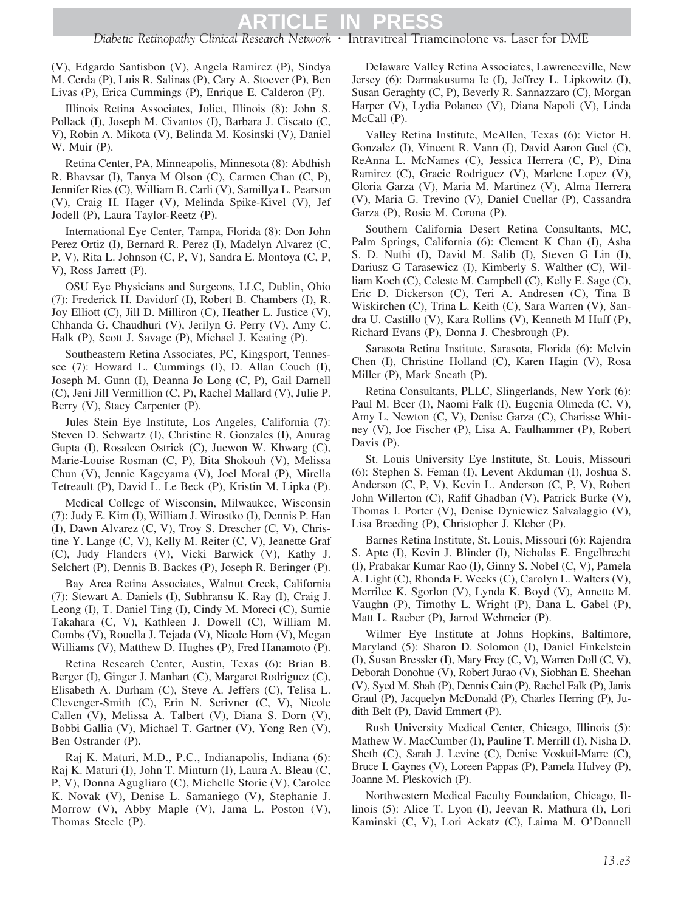**ARTICLE IN** 

*Diabetic Retinopathy Clinical Research Network* Intravitreal Triamcinolone vs. Laser for DME

(V), Edgardo Santisbon (V), Angela Ramirez (P), Sindya M. Cerda (P), Luis R. Salinas (P), Cary A. Stoever (P), Ben Livas (P), Erica Cummings (P), Enrique E. Calderon (P).

Illinois Retina Associates, Joliet, Illinois (8): John S. Pollack (I), Joseph M. Civantos (I), Barbara J. Ciscato (C, V), Robin A. Mikota (V), Belinda M. Kosinski (V), Daniel W. Muir (P).

Retina Center, PA, Minneapolis, Minnesota (8): Abdhish R. Bhavsar (I), Tanya M Olson (C), Carmen Chan (C, P), Jennifer Ries (C), William B. Carli (V), Samillya L. Pearson (V), Craig H. Hager (V), Melinda Spike-Kivel (V), Jef Jodell (P), Laura Taylor-Reetz (P).

International Eye Center, Tampa, Florida (8): Don John Perez Ortiz (I), Bernard R. Perez (I), Madelyn Alvarez (C, P, V), Rita L. Johnson (C, P, V), Sandra E. Montoya (C, P, V), Ross Jarrett (P).

OSU Eye Physicians and Surgeons, LLC, Dublin, Ohio (7): Frederick H. Davidorf (I), Robert B. Chambers (I), R. Joy Elliott (C), Jill D. Milliron (C), Heather L. Justice (V), Chhanda G. Chaudhuri (V), Jerilyn G. Perry (V), Amy C. Halk (P), Scott J. Savage (P), Michael J. Keating (P).

Southeastern Retina Associates, PC, Kingsport, Tennessee (7): Howard L. Cummings (I), D. Allan Couch (I), Joseph M. Gunn (I), Deanna Jo Long (C, P), Gail Darnell (C), Jeni Jill Vermillion (C, P), Rachel Mallard (V), Julie P. Berry (V), Stacy Carpenter (P).

Jules Stein Eye Institute, Los Angeles, California (7): Steven D. Schwartz (I), Christine R. Gonzales (I), Anurag Gupta (I), Rosaleen Ostrick (C), Juewon W. Khwarg (C), Marie-Louise Rosman (C, P), Bita Shokouh (V), Melissa Chun (V), Jennie Kageyama (V), Joel Moral (P), Mirella Tetreault (P), David L. Le Beck (P), Kristin M. Lipka (P).

Medical College of Wisconsin, Milwaukee, Wisconsin (7): Judy E. Kim (I), William J. Wirostko (I), Dennis P. Han (I), Dawn Alvarez (C, V), Troy S. Drescher (C, V), Christine Y. Lange (C, V), Kelly M. Reiter (C, V), Jeanette Graf (C), Judy Flanders (V), Vicki Barwick (V), Kathy J. Selchert (P), Dennis B. Backes (P), Joseph R. Beringer (P).

Bay Area Retina Associates, Walnut Creek, California (7): Stewart A. Daniels (I), Subhransu K. Ray (I), Craig J. Leong (I), T. Daniel Ting (I), Cindy M. Moreci (C), Sumie Takahara (C, V), Kathleen J. Dowell (C), William M. Combs (V), Rouella J. Tejada (V), Nicole Hom (V), Megan Williams (V), Matthew D. Hughes (P), Fred Hanamoto (P).

Retina Research Center, Austin, Texas (6): Brian B. Berger (I), Ginger J. Manhart (C), Margaret Rodriguez (C), Elisabeth A. Durham (C), Steve A. Jeffers (C), Telisa L. Clevenger-Smith (C), Erin N. Scrivner (C, V), Nicole Callen (V), Melissa A. Talbert (V), Diana S. Dorn (V), Bobbi Gallia (V), Michael T. Gartner (V), Yong Ren (V), Ben Ostrander (P).

Raj K. Maturi, M.D., P.C., Indianapolis, Indiana (6): Raj K. Maturi (I), John T. Minturn (I), Laura A. Bleau (C, P, V), Donna Agugliaro (C), Michelle Storie (V), Carolee K. Novak (V), Denise L. Samaniego (V), Stephanie J. Morrow (V), Abby Maple (V), Jama L. Poston (V), Thomas Steele (P).

Delaware Valley Retina Associates, Lawrenceville, New Jersey (6): Darmakusuma Ie (I), Jeffrey L. Lipkowitz (I), Susan Geraghty (C, P), Beverly R. Sannazzaro (C), Morgan Harper (V), Lydia Polanco (V), Diana Napoli (V), Linda McCall (P).

Valley Retina Institute, McAllen, Texas (6): Victor H. Gonzalez (I), Vincent R. Vann (I), David Aaron Guel (C), ReAnna L. McNames (C), Jessica Herrera (C, P), Dina Ramirez (C), Gracie Rodriguez (V), Marlene Lopez (V), Gloria Garza (V), Maria M. Martinez (V), Alma Herrera (V), Maria G. Trevino (V), Daniel Cuellar (P), Cassandra Garza (P), Rosie M. Corona (P).

Southern California Desert Retina Consultants, MC, Palm Springs, California (6): Clement K Chan (I), Asha S. D. Nuthi (I), David M. Salib (I), Steven G Lin (I), Dariusz G Tarasewicz (I), Kimberly S. Walther (C), William Koch (C), Celeste M. Campbell (C), Kelly E. Sage (C), Eric D. Dickerson (C), Teri A. Andresen (C), Tina B Wiskirchen (C), Trina L. Keith (C), Sara Warren (V), Sandra U. Castillo (V), Kara Rollins (V), Kenneth M Huff (P), Richard Evans (P), Donna J. Chesbrough (P).

Sarasota Retina Institute, Sarasota, Florida (6): Melvin Chen (I), Christine Holland (C), Karen Hagin (V), Rosa Miller (P), Mark Sneath (P).

Retina Consultants, PLLC, Slingerlands, New York (6): Paul M. Beer (I), Naomi Falk (I), Eugenia Olmeda (C, V), Amy L. Newton (C, V), Denise Garza (C), Charisse Whitney (V), Joe Fischer (P), Lisa A. Faulhammer (P), Robert Davis (P).

St. Louis University Eye Institute, St. Louis, Missouri (6): Stephen S. Feman (I), Levent Akduman (I), Joshua S. Anderson (C, P, V), Kevin L. Anderson (C, P, V), Robert John Willerton (C), Rafif Ghadban (V), Patrick Burke (V), Thomas I. Porter (V), Denise Dyniewicz Salvalaggio (V), Lisa Breeding (P), Christopher J. Kleber (P).

Barnes Retina Institute, St. Louis, Missouri (6): Rajendra S. Apte (I), Kevin J. Blinder (I), Nicholas E. Engelbrecht (I), Prabakar Kumar Rao (I), Ginny S. Nobel (C, V), Pamela A. Light (C), Rhonda F. Weeks (C), Carolyn L. Walters (V), Merrilee K. Sgorlon (V), Lynda K. Boyd (V), Annette M. Vaughn (P), Timothy L. Wright (P), Dana L. Gabel (P), Matt L. Raeber (P), Jarrod Wehmeier (P).

Wilmer Eye Institute at Johns Hopkins, Baltimore, Maryland (5): Sharon D. Solomon (I), Daniel Finkelstein (I), Susan Bressler (I), Mary Frey (C, V), Warren Doll (C, V), Deborah Donohue (V), Robert Jurao (V), Siobhan E. Sheehan (V), Syed M. Shah (P), Dennis Cain (P), Rachel Falk (P), Janis Graul (P), Jacquelyn McDonald (P), Charles Herring (P), Judith Belt (P), David Emmert (P).

Rush University Medical Center, Chicago, Illinois (5): Mathew W. MacCumber (I), Pauline T. Merrill (I), Nisha D. Sheth (C), Sarah J. Levine (C), Denise Voskuil-Marre (C), Bruce I. Gaynes (V), Loreen Pappas (P), Pamela Hulvey (P), Joanne M. Pleskovich (P).

Northwestern Medical Faculty Foundation, Chicago, Illinois (5): Alice T. Lyon (I), Jeevan R. Mathura (I), Lori Kaminski (C, V), Lori Ackatz (C), Laima M. O'Donnell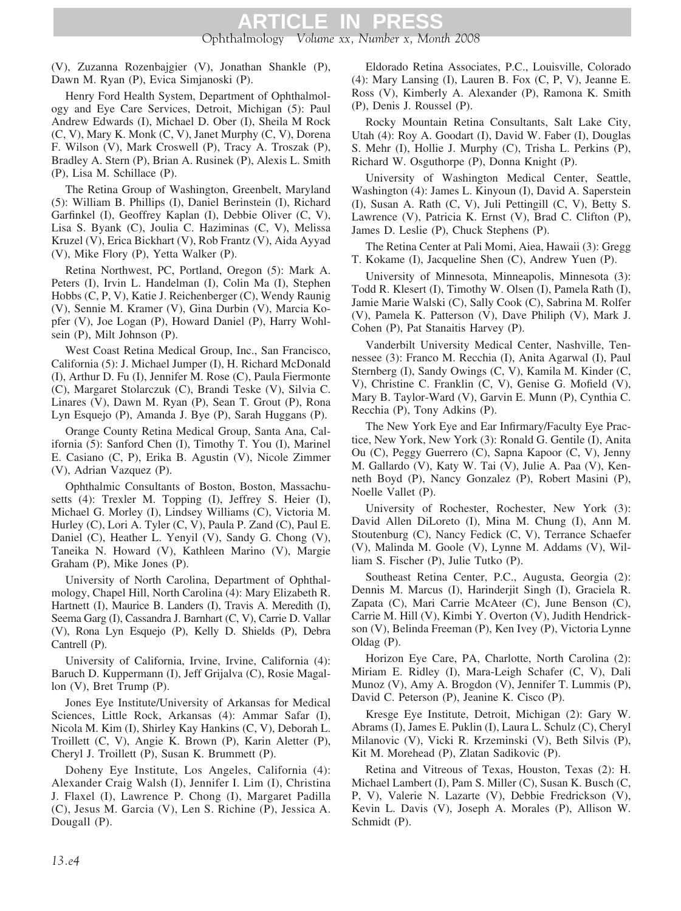(V), Zuzanna Rozenbajgier (V), Jonathan Shankle (P), Dawn M. Ryan (P), Evica Simjanoski (P).

Henry Ford Health System, Department of Ophthalmology and Eye Care Services, Detroit, Michigan (5): Paul Andrew Edwards (I), Michael D. Ober (I), Sheila M Rock (C, V), Mary K. Monk (C, V), Janet Murphy (C, V), Dorena F. Wilson (V), Mark Croswell (P), Tracy A. Troszak (P), Bradley A. Stern (P), Brian A. Rusinek (P), Alexis L. Smith (P), Lisa M. Schillace (P).

The Retina Group of Washington, Greenbelt, Maryland (5): William B. Phillips (I), Daniel Berinstein (I), Richard Garfinkel (I), Geoffrey Kaplan (I), Debbie Oliver (C, V), Lisa S. Byank (C), Joulia C. Haziminas (C, V), Melissa Kruzel (V), Erica Bickhart (V), Rob Frantz (V), Aida Ayyad (V), Mike Flory (P), Yetta Walker (P).

Retina Northwest, PC, Portland, Oregon (5): Mark A. Peters (I), Irvin L. Handelman (I), Colin Ma (I), Stephen Hobbs (C, P, V), Katie J. Reichenberger (C), Wendy Raunig (V), Sennie M. Kramer (V), Gina Durbin (V), Marcia Kopfer (V), Joe Logan (P), Howard Daniel (P), Harry Wohlsein (P), Milt Johnson (P).

West Coast Retina Medical Group, Inc., San Francisco, California (5): J. Michael Jumper (I), H. Richard McDonald (I), Arthur D. Fu (I), Jennifer M. Rose (C), Paula Fiermonte (C), Margaret Stolarczuk (C), Brandi Teske (V), Silvia C. Linares (V), Dawn M. Ryan (P), Sean T. Grout (P), Rona Lyn Esquejo (P), Amanda J. Bye (P), Sarah Huggans (P).

Orange County Retina Medical Group, Santa Ana, California (5): Sanford Chen (I), Timothy T. You (I), Marinel E. Casiano (C, P), Erika B. Agustin (V), Nicole Zimmer (V), Adrian Vazquez (P).

Ophthalmic Consultants of Boston, Boston, Massachusetts (4): Trexler M. Topping (I), Jeffrey S. Heier (I), Michael G. Morley (I), Lindsey Williams (C), Victoria M. Hurley (C), Lori A. Tyler (C, V), Paula P. Zand (C), Paul E. Daniel (C), Heather L. Yenyil (V), Sandy G. Chong (V), Taneika N. Howard (V), Kathleen Marino (V), Margie Graham (P), Mike Jones (P).

University of North Carolina, Department of Ophthalmology, Chapel Hill, North Carolina (4): Mary Elizabeth R. Hartnett (I), Maurice B. Landers (I), Travis A. Meredith (I), Seema Garg (I), Cassandra J. Barnhart (C, V), Carrie D. Vallar (V), Rona Lyn Esquejo (P), Kelly D. Shields (P), Debra Cantrell (P).

University of California, Irvine, Irvine, California (4): Baruch D. Kuppermann (I), Jeff Grijalva (C), Rosie Magallon (V), Bret Trump (P).

Jones Eye Institute/University of Arkansas for Medical Sciences, Little Rock, Arkansas (4): Ammar Safar (I), Nicola M. Kim (I), Shirley Kay Hankins (C, V), Deborah L. Troillett (C, V), Angie K. Brown (P), Karin Aletter (P), Cheryl J. Troillett (P), Susan K. Brummett (P).

Doheny Eye Institute, Los Angeles, California (4): Alexander Craig Walsh (I), Jennifer I. Lim (I), Christina J. Flaxel (I), Lawrence P. Chong (I), Margaret Padilla (C), Jesus M. Garcia (V), Len S. Richine (P), Jessica A. Dougall (P).

Eldorado Retina Associates, P.C., Louisville, Colorado (4): Mary Lansing (I), Lauren B. Fox (C, P, V), Jeanne E. Ross (V), Kimberly A. Alexander (P), Ramona K. Smith (P), Denis J. Roussel (P).

Rocky Mountain Retina Consultants, Salt Lake City, Utah (4): Roy A. Goodart (I), David W. Faber (I), Douglas S. Mehr (I), Hollie J. Murphy (C), Trisha L. Perkins (P), Richard W. Osguthorpe (P), Donna Knight (P).

University of Washington Medical Center, Seattle, Washington (4): James L. Kinyoun (I), David A. Saperstein (I), Susan A. Rath (C, V), Juli Pettingill (C, V), Betty S. Lawrence (V), Patricia K. Ernst (V), Brad C. Clifton (P), James D. Leslie (P), Chuck Stephens (P).

The Retina Center at Pali Momi, Aiea, Hawaii (3): Gregg T. Kokame (I), Jacqueline Shen (C), Andrew Yuen (P).

University of Minnesota, Minneapolis, Minnesota (3): Todd R. Klesert (I), Timothy W. Olsen (I), Pamela Rath (I), Jamie Marie Walski (C), Sally Cook (C), Sabrina M. Rolfer (V), Pamela K. Patterson (V), Dave Philiph (V), Mark J. Cohen (P), Pat Stanaitis Harvey (P).

Vanderbilt University Medical Center, Nashville, Tennessee (3): Franco M. Recchia (I), Anita Agarwal (I), Paul Sternberg (I), Sandy Owings (C, V), Kamila M. Kinder (C, V), Christine C. Franklin (C, V), Genise G. Mofield (V), Mary B. Taylor-Ward (V), Garvin E. Munn (P), Cynthia C. Recchia (P), Tony Adkins (P).

The New York Eye and Ear Infirmary/Faculty Eye Practice, New York, New York (3): Ronald G. Gentile (I), Anita Ou (C), Peggy Guerrero (C), Sapna Kapoor (C, V), Jenny M. Gallardo (V), Katy W. Tai (V), Julie A. Paa (V), Kenneth Boyd (P), Nancy Gonzalez (P), Robert Masini (P), Noelle Vallet (P).

University of Rochester, Rochester, New York (3): David Allen DiLoreto (I), Mina M. Chung (I), Ann M. Stoutenburg (C), Nancy Fedick (C, V), Terrance Schaefer (V), Malinda M. Goole (V), Lynne M. Addams (V), William S. Fischer (P), Julie Tutko (P).

Southeast Retina Center, P.C., Augusta, Georgia (2): Dennis M. Marcus (I), Harinderjit Singh (I), Graciela R. Zapata (C), Mari Carrie McAteer (C), June Benson (C), Carrie M. Hill (V), Kimbi Y. Overton (V), Judith Hendrickson (V), Belinda Freeman (P), Ken Ivey (P), Victoria Lynne Oldag (P).

Horizon Eye Care, PA, Charlotte, North Carolina (2): Miriam E. Ridley (I), Mara-Leigh Schafer (C, V), Dali Munoz (V), Amy A. Brogdon (V), Jennifer T. Lummis (P), David C. Peterson (P), Jeanine K. Cisco (P).

Kresge Eye Institute, Detroit, Michigan (2): Gary W. Abrams (I), James E. Puklin (I), Laura L. Schulz (C), Cheryl Milanovic (V), Vicki R. Krzeminski (V), Beth Silvis (P), Kit M. Morehead (P), Zlatan Sadikovic (P).

Retina and Vitreous of Texas, Houston, Texas (2): H. Michael Lambert (I), Pam S. Miller (C), Susan K. Busch (C, P, V), Valerie N. Lazarte (V), Debbie Fredrickson (V), Kevin L. Davis (V), Joseph A. Morales (P), Allison W. Schmidt (P).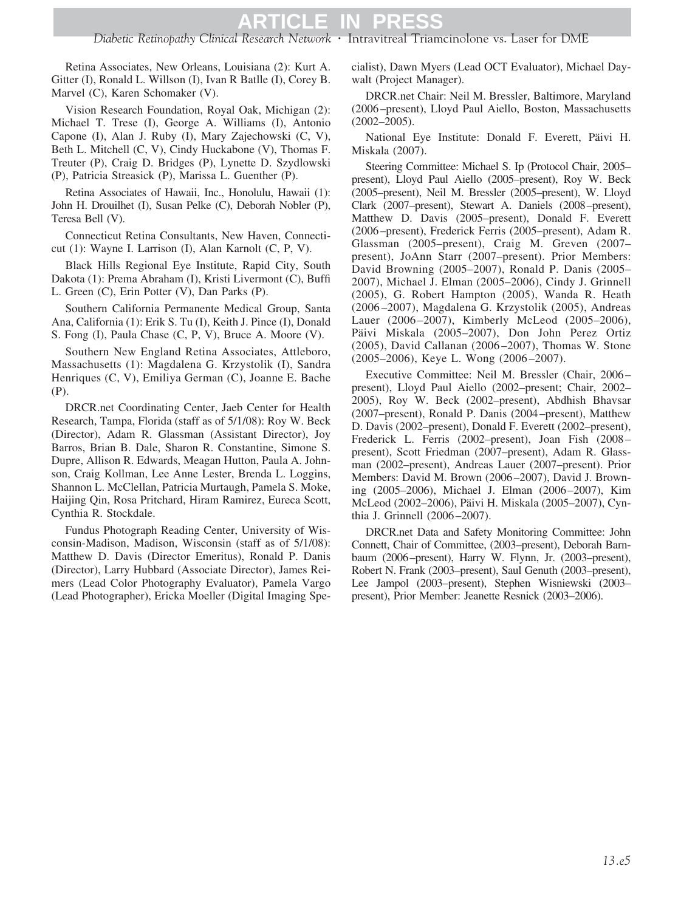Retina Associates, New Orleans, Louisiana (2): Kurt A. Gitter (I), Ronald L. Willson (I), Ivan R Batlle (I), Corey B. Marvel (C), Karen Schomaker (V).

Vision Research Foundation, Royal Oak, Michigan (2): Michael T. Trese (I), George A. Williams (I), Antonio Capone (I), Alan J. Ruby (I), Mary Zajechowski (C, V), Beth L. Mitchell (C, V), Cindy Huckabone (V), Thomas F. Treuter (P), Craig D. Bridges (P), Lynette D. Szydlowski (P), Patricia Streasick (P), Marissa L. Guenther (P).

Retina Associates of Hawaii, Inc., Honolulu, Hawaii (1): John H. Drouilhet (I), Susan Pelke (C), Deborah Nobler (P), Teresa Bell (V).

Connecticut Retina Consultants, New Haven, Connecticut (1): Wayne I. Larrison (I), Alan Karnolt (C, P, V).

Black Hills Regional Eye Institute, Rapid City, South Dakota (1): Prema Abraham (I), Kristi Livermont (C), Buffi L. Green (C), Erin Potter (V), Dan Parks (P).

Southern California Permanente Medical Group, Santa Ana, California (1): Erik S. Tu (I), Keith J. Pince (I), Donald S. Fong (I), Paula Chase (C, P, V), Bruce A. Moore (V).

Southern New England Retina Associates, Attleboro, Massachusetts (1): Magdalena G. Krzystolik (I), Sandra Henriques (C, V), Emiliya German (C), Joanne E. Bache (P).

DRCR.net Coordinating Center, Jaeb Center for Health Research, Tampa, Florida (staff as of 5/1/08): Roy W. Beck (Director), Adam R. Glassman (Assistant Director), Joy Barros, Brian B. Dale, Sharon R. Constantine, Simone S. Dupre, Allison R. Edwards, Meagan Hutton, Paula A. Johnson, Craig Kollman, Lee Anne Lester, Brenda L. Loggins, Shannon L. McClellan, Patricia Murtaugh, Pamela S. Moke, Haijing Qin, Rosa Pritchard, Hiram Ramirez, Eureca Scott, Cynthia R. Stockdale.

Fundus Photograph Reading Center, University of Wisconsin-Madison, Madison, Wisconsin (staff as of 5/1/08): Matthew D. Davis (Director Emeritus), Ronald P. Danis (Director), Larry Hubbard (Associate Director), James Reimers (Lead Color Photography Evaluator), Pamela Vargo (Lead Photographer), Ericka Moeller (Digital Imaging Specialist), Dawn Myers (Lead OCT Evaluator), Michael Daywalt (Project Manager).

DRCR.net Chair: Neil M. Bressler, Baltimore, Maryland (2006–present), Lloyd Paul Aiello, Boston, Massachusetts (2002–2005).

National Eye Institute: Donald F. Everett, Päivi H. Miskala (2007).

Steering Committee: Michael S. Ip (Protocol Chair, 2005– present), Lloyd Paul Aiello (2005–present), Roy W. Beck (2005–present), Neil M. Bressler (2005–present), W. Lloyd Clark (2007–present), Stewart A. Daniels (2008–present), Matthew D. Davis (2005–present), Donald F. Everett (2006–present), Frederick Ferris (2005–present), Adam R. Glassman (2005–present), Craig M. Greven (2007– present), JoAnn Starr (2007–present). Prior Members: David Browning (2005–2007), Ronald P. Danis (2005– 2007), Michael J. Elman (2005–2006), Cindy J. Grinnell (2005), G. Robert Hampton (2005), Wanda R. Heath (2006–2007), Magdalena G. Krzystolik (2005), Andreas Lauer (2006–2007), Kimberly McLeod (2005–2006), Päivi Miskala (2005–2007), Don John Perez Ortiz (2005), David Callanan (2006–2007), Thomas W. Stone (2005–2006), Keye L. Wong (2006–2007).

Executive Committee: Neil M. Bressler (Chair, 2006– present), Lloyd Paul Aiello (2002–present; Chair, 2002– 2005), Roy W. Beck (2002–present), Abdhish Bhavsar (2007–present), Ronald P. Danis (2004–present), Matthew D. Davis (2002–present), Donald F. Everett (2002–present), Frederick L. Ferris (2002–present), Joan Fish (2008– present), Scott Friedman (2007–present), Adam R. Glassman (2002–present), Andreas Lauer (2007–present). Prior Members: David M. Brown (2006–2007), David J. Browning (2005–2006), Michael J. Elman (2006–2007), Kim McLeod (2002–2006), Päivi H. Miskala (2005–2007), Cynthia J. Grinnell (2006–2007).

DRCR.net Data and Safety Monitoring Committee: John Connett, Chair of Committee, (2003–present), Deborah Barnbaum (2006–present), Harry W. Flynn, Jr. (2003–present), Robert N. Frank (2003–present), Saul Genuth (2003–present), Lee Jampol (2003–present), Stephen Wisniewski (2003– present), Prior Member: Jeanette Resnick (2003–2006).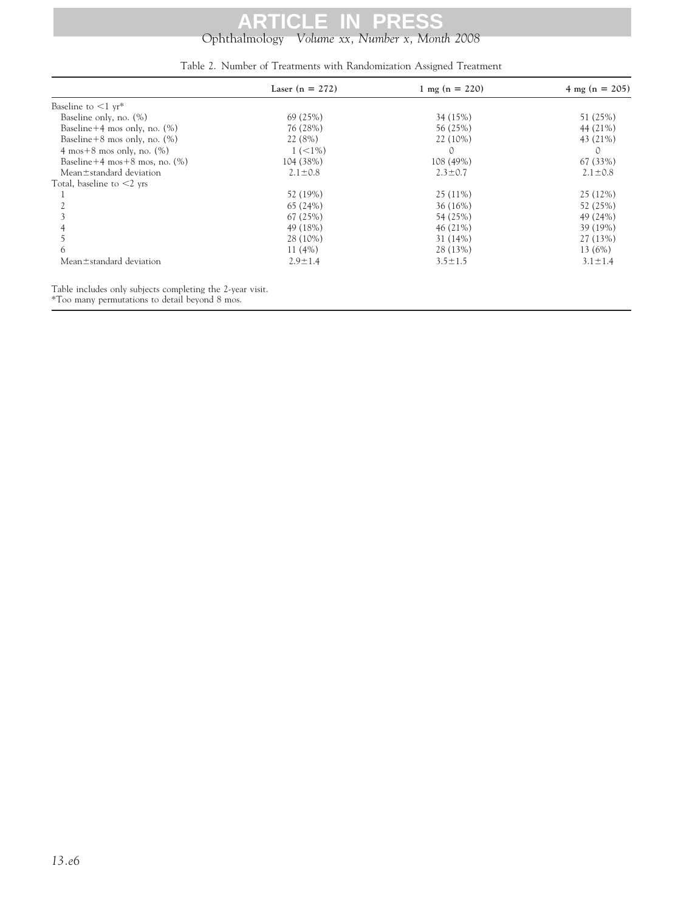|  |  | Table 2. Number of Treatments with Randomization Assigned Treatment |  |
|--|--|---------------------------------------------------------------------|--|
|  |  |                                                                     |  |

<span id="page-18-0"></span>

|                                    | Laser $(n = 272)$ | 1 mg (n = 220) | $4 \text{ mg}$ (n = 205) |
|------------------------------------|-------------------|----------------|--------------------------|
| Baseline to $\leq 1$ yr*           |                   |                |                          |
| Baseline only, no. (%)             | 69 (25%)          | 34 (15%)       | 51 (25%)                 |
| Baseline $+4$ mos only, no. $(\%)$ | 76 (28%)          | 56 (25%)       | 44 (21%)                 |
| Baseline +8 mos only, no. $(\%)$   | 22 (8%)           | 22 (10%)       | 43 (21%)                 |
| 4 mos + 8 mos only, no. $(\%)$     | $1 (< 1\%)$       | 0              |                          |
| Baseline +4 mos +8 mos, no. $(\%)$ | 104 (38%)         | 108 (49%)      | 67 (33%)                 |
| Mean $\pm$ standard deviation      | $2.1 \pm 0.8$     | $2.3 \pm 0.7$  | $2.1 \pm 0.8$            |
| Total, baseline to $<$ 2 yrs       |                   |                |                          |
|                                    | 52 (19%)          | $25(11\%)$     | 25 (12%)                 |
|                                    | 65(24%)           | $36(16\%)$     | 52 (25%)                 |
|                                    | 67 (25%)          | 54 (25%)       | 49 (24%)                 |
|                                    | 49 (18%)          | 46 (21%)       | 39 (19%)                 |
|                                    | 28 (10%)          | 31 (14%)       | 27 (13%)                 |
| 6                                  | 11(4%)            | 28 (13%)       | 13(6%)                   |
| Mean±standard deviation            | $2.9 \pm 1.4$     | $3.5 \pm 1.5$  | $3.1 \pm 1.4$            |

Table includes only subjects completing the 2-year visit.

\*Too many permutations to detail beyond 8 mos.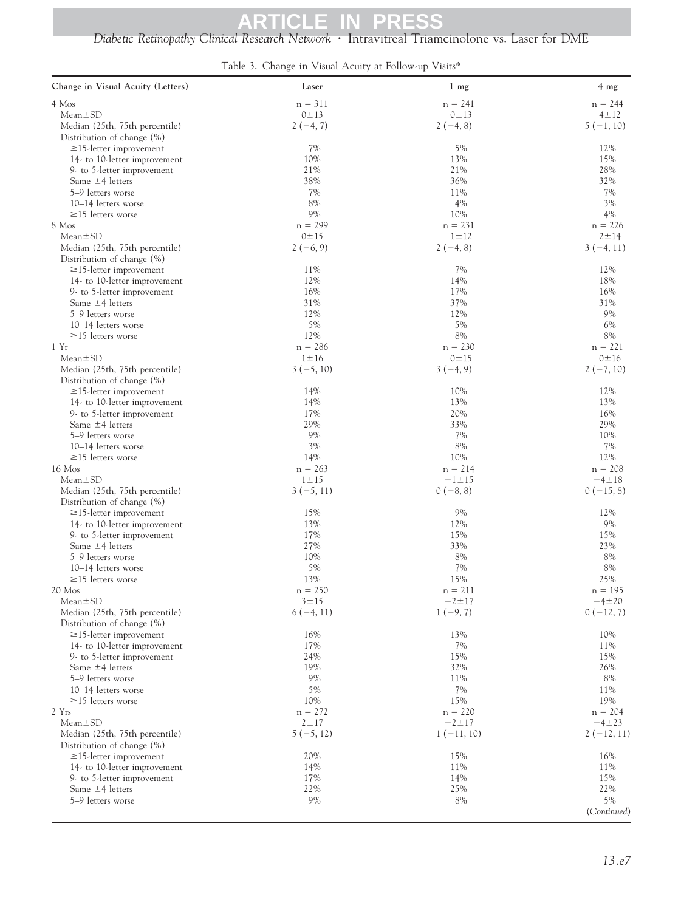## **ARTICLE IN PRESS**

## *Diabetic Retinopathy Clinical Research Network* Intravitreal Triamcinolone vs. Laser for DME

Table 3. Change in Visual Acuity at Follow-up Visits\*

<span id="page-19-0"></span>

| 4 Mos<br>$n = 311$<br>$n = 241$<br>$n = 244$<br>$Mean \pm SD$<br>$0 \pm 13$<br>$0 \pm 13$<br>$4 \pm 12$<br>$2(-4, 8)$<br>$5(-1, 10)$<br>Median (25th, 75th percentile)<br>$2(-4, 7)$<br>Distribution of change (%)<br>7%<br>5%<br>12%<br>$\geq$ 15-letter improvement<br>10%<br>13%<br>14- to 10-letter improvement<br>15%<br>21%<br>21%<br>28%<br>9- to 5-letter improvement<br>38%<br>36%<br>32%<br>Same $±4$ letters<br>5-9 letters worse<br>7%<br>7%<br>11%<br>8%<br>4%<br>3%<br>10-14 letters worse<br>9%<br>10%<br>4%<br>$\geq$ 15 letters worse<br>$n = 299$<br>$n = 231$<br>$n = 226$<br>8 Mos<br>$Mean \pm SD$<br>$0 + 15$<br>$1 \pm 12$<br>$2 + 14$<br>$2(-4, 8)$<br>Median (25th, 75th percentile)<br>$2(-6, 9)$<br>$3(-4, 11)$<br>Distribution of change (%)<br>11%<br>7%<br>12%<br>$\geq$ 15-letter improvement<br>14%<br>12%<br>18%<br>14- to 10-letter improvement<br>16%<br>17%<br>16%<br>9- to 5-letter improvement<br>Same $±4$ letters<br>31%<br>37%<br>31%<br>5-9 letters worse<br>12%<br>12%<br>9%<br>5%<br>5%<br>6%<br>10-14 letters worse<br>12%<br>8%<br>8%<br>$\geq$ 15 letters worse<br>$n = 286$<br>$n = 230$<br>$n = 221$<br>1 Yr<br>$Mean \pm SD$<br>$1 \pm 16$<br>$0 \pm 15$<br>$0 \pm 16$<br>Median (25th, 75th percentile)<br>$3(-4, 9)$<br>$3(-5, 10)$<br>$2(-7, 10)$<br>Distribution of change (%)<br>10%<br>14%<br>12%<br>$\geq$ 15-letter improvement<br>14%<br>13%<br>13%<br>14- to 10-letter improvement<br>17%<br>20%<br>16%<br>9- to 5-letter improvement<br>29%<br>33%<br>29%<br>Same $±4$ letters<br>9%<br>5-9 letters worse<br>7%<br>10%<br>3%<br>8%<br>7%<br>10-14 letters worse<br>14%<br>10%<br>12%<br>$\geq$ 15 letters worse<br>$n = 208$<br>$16$ Mos<br>$n = 263$<br>$n = 214$<br>$Mean \pm SD$<br>$1 \pm 15$<br>$-1 \pm 15$<br>$-4 \pm 18$<br>$0(-8, 8)$<br>Median (25th, 75th percentile)<br>$3(-5, 11)$<br>$0(-15, 8)$<br>Distribution of change (%)<br>9%<br>15%<br>12%<br>$\geq$ 15-letter improvement<br>13%<br>12%<br>9%<br>14- to 10-letter improvement<br>17%<br>15%<br>15%<br>9- to 5-letter improvement<br>27%<br>33%<br>23%<br>Same $±4$ letters<br>5-9 letters worse<br>10%<br>8%<br>8%<br>5%<br>7%<br>10-14 letters worse<br>8%<br>13%<br>15%<br>25%<br>$\geq$ 15 letters worse<br>$20$ Mos<br>$n = 250$<br>$n = 211$<br>$n = 195$<br>$Mean \pm SD$<br>$3 + 15$<br>$-2+17$<br>$-4 + 20$<br>Median (25th, 75th percentile)<br>$6(-4, 11)$<br>$1(-9, 7)$<br>$0(-12, 7)$<br>Distribution of change (%)<br>10%<br>$\geq$ 15-letter improvement<br>16%<br>13%<br>17%<br>7%<br>11%<br>14- to 10-letter improvement<br>24%<br>15%<br>15%<br>9- to 5-letter improvement<br>19%<br>32%<br>26%<br>Same $±4$ letters<br>5-9 letters worse<br>9%<br>8%<br>11%<br>5%<br>10–14 letters worse<br>7%<br>11%<br>10%<br>19%<br>15%<br>$\geq$ 15 letters worse<br>2 Yrs<br>$n = 220$<br>$n = 272$<br>$n = 204$<br>$Mean \pm SD$<br>$2 + 17$<br>$-2+17$<br>$-4 \pm 23$<br>$5(-5, 12)$<br>Median (25th, 75th percentile)<br>$1(-11, 10)$<br>$2(-12, 11)$<br>Distribution of change (%)<br>20%<br>15%<br>16%<br>$\geq$ 15-letter improvement<br>14%<br>11%<br>11%<br>14- to 10-letter improvement<br>17%<br>15%<br>9- to 5-letter improvement<br>14%<br>Same $±4$ letters<br>22%<br>25%<br>22%<br>9%<br>5-9 letters worse<br>8%<br>5%<br>(Continued) | Change in Visual Acuity (Letters) | Laser | $1 \, mg$ | $4 \text{ mg}$ |
|-----------------------------------------------------------------------------------------------------------------------------------------------------------------------------------------------------------------------------------------------------------------------------------------------------------------------------------------------------------------------------------------------------------------------------------------------------------------------------------------------------------------------------------------------------------------------------------------------------------------------------------------------------------------------------------------------------------------------------------------------------------------------------------------------------------------------------------------------------------------------------------------------------------------------------------------------------------------------------------------------------------------------------------------------------------------------------------------------------------------------------------------------------------------------------------------------------------------------------------------------------------------------------------------------------------------------------------------------------------------------------------------------------------------------------------------------------------------------------------------------------------------------------------------------------------------------------------------------------------------------------------------------------------------------------------------------------------------------------------------------------------------------------------------------------------------------------------------------------------------------------------------------------------------------------------------------------------------------------------------------------------------------------------------------------------------------------------------------------------------------------------------------------------------------------------------------------------------------------------------------------------------------------------------------------------------------------------------------------------------------------------------------------------------------------------------------------------------------------------------------------------------------------------------------------------------------------------------------------------------------------------------------------------------------------------------------------------------------------------------------------------------------------------------------------------------------------------------------------------------------------------------------------------------------------------------------------------------------------------------------------------------------------------------------------------------------------------------------------------------------------------------------------------------------------------------------------------------------------------------------------------------------------------------------|-----------------------------------|-------|-----------|----------------|
|                                                                                                                                                                                                                                                                                                                                                                                                                                                                                                                                                                                                                                                                                                                                                                                                                                                                                                                                                                                                                                                                                                                                                                                                                                                                                                                                                                                                                                                                                                                                                                                                                                                                                                                                                                                                                                                                                                                                                                                                                                                                                                                                                                                                                                                                                                                                                                                                                                                                                                                                                                                                                                                                                                                                                                                                                                                                                                                                                                                                                                                                                                                                                                                                                                                                                               |                                   |       |           |                |
|                                                                                                                                                                                                                                                                                                                                                                                                                                                                                                                                                                                                                                                                                                                                                                                                                                                                                                                                                                                                                                                                                                                                                                                                                                                                                                                                                                                                                                                                                                                                                                                                                                                                                                                                                                                                                                                                                                                                                                                                                                                                                                                                                                                                                                                                                                                                                                                                                                                                                                                                                                                                                                                                                                                                                                                                                                                                                                                                                                                                                                                                                                                                                                                                                                                                                               |                                   |       |           |                |
|                                                                                                                                                                                                                                                                                                                                                                                                                                                                                                                                                                                                                                                                                                                                                                                                                                                                                                                                                                                                                                                                                                                                                                                                                                                                                                                                                                                                                                                                                                                                                                                                                                                                                                                                                                                                                                                                                                                                                                                                                                                                                                                                                                                                                                                                                                                                                                                                                                                                                                                                                                                                                                                                                                                                                                                                                                                                                                                                                                                                                                                                                                                                                                                                                                                                                               |                                   |       |           |                |
|                                                                                                                                                                                                                                                                                                                                                                                                                                                                                                                                                                                                                                                                                                                                                                                                                                                                                                                                                                                                                                                                                                                                                                                                                                                                                                                                                                                                                                                                                                                                                                                                                                                                                                                                                                                                                                                                                                                                                                                                                                                                                                                                                                                                                                                                                                                                                                                                                                                                                                                                                                                                                                                                                                                                                                                                                                                                                                                                                                                                                                                                                                                                                                                                                                                                                               |                                   |       |           |                |
|                                                                                                                                                                                                                                                                                                                                                                                                                                                                                                                                                                                                                                                                                                                                                                                                                                                                                                                                                                                                                                                                                                                                                                                                                                                                                                                                                                                                                                                                                                                                                                                                                                                                                                                                                                                                                                                                                                                                                                                                                                                                                                                                                                                                                                                                                                                                                                                                                                                                                                                                                                                                                                                                                                                                                                                                                                                                                                                                                                                                                                                                                                                                                                                                                                                                                               |                                   |       |           |                |
|                                                                                                                                                                                                                                                                                                                                                                                                                                                                                                                                                                                                                                                                                                                                                                                                                                                                                                                                                                                                                                                                                                                                                                                                                                                                                                                                                                                                                                                                                                                                                                                                                                                                                                                                                                                                                                                                                                                                                                                                                                                                                                                                                                                                                                                                                                                                                                                                                                                                                                                                                                                                                                                                                                                                                                                                                                                                                                                                                                                                                                                                                                                                                                                                                                                                                               |                                   |       |           |                |
|                                                                                                                                                                                                                                                                                                                                                                                                                                                                                                                                                                                                                                                                                                                                                                                                                                                                                                                                                                                                                                                                                                                                                                                                                                                                                                                                                                                                                                                                                                                                                                                                                                                                                                                                                                                                                                                                                                                                                                                                                                                                                                                                                                                                                                                                                                                                                                                                                                                                                                                                                                                                                                                                                                                                                                                                                                                                                                                                                                                                                                                                                                                                                                                                                                                                                               |                                   |       |           |                |
|                                                                                                                                                                                                                                                                                                                                                                                                                                                                                                                                                                                                                                                                                                                                                                                                                                                                                                                                                                                                                                                                                                                                                                                                                                                                                                                                                                                                                                                                                                                                                                                                                                                                                                                                                                                                                                                                                                                                                                                                                                                                                                                                                                                                                                                                                                                                                                                                                                                                                                                                                                                                                                                                                                                                                                                                                                                                                                                                                                                                                                                                                                                                                                                                                                                                                               |                                   |       |           |                |
|                                                                                                                                                                                                                                                                                                                                                                                                                                                                                                                                                                                                                                                                                                                                                                                                                                                                                                                                                                                                                                                                                                                                                                                                                                                                                                                                                                                                                                                                                                                                                                                                                                                                                                                                                                                                                                                                                                                                                                                                                                                                                                                                                                                                                                                                                                                                                                                                                                                                                                                                                                                                                                                                                                                                                                                                                                                                                                                                                                                                                                                                                                                                                                                                                                                                                               |                                   |       |           |                |
|                                                                                                                                                                                                                                                                                                                                                                                                                                                                                                                                                                                                                                                                                                                                                                                                                                                                                                                                                                                                                                                                                                                                                                                                                                                                                                                                                                                                                                                                                                                                                                                                                                                                                                                                                                                                                                                                                                                                                                                                                                                                                                                                                                                                                                                                                                                                                                                                                                                                                                                                                                                                                                                                                                                                                                                                                                                                                                                                                                                                                                                                                                                                                                                                                                                                                               |                                   |       |           |                |
|                                                                                                                                                                                                                                                                                                                                                                                                                                                                                                                                                                                                                                                                                                                                                                                                                                                                                                                                                                                                                                                                                                                                                                                                                                                                                                                                                                                                                                                                                                                                                                                                                                                                                                                                                                                                                                                                                                                                                                                                                                                                                                                                                                                                                                                                                                                                                                                                                                                                                                                                                                                                                                                                                                                                                                                                                                                                                                                                                                                                                                                                                                                                                                                                                                                                                               |                                   |       |           |                |
|                                                                                                                                                                                                                                                                                                                                                                                                                                                                                                                                                                                                                                                                                                                                                                                                                                                                                                                                                                                                                                                                                                                                                                                                                                                                                                                                                                                                                                                                                                                                                                                                                                                                                                                                                                                                                                                                                                                                                                                                                                                                                                                                                                                                                                                                                                                                                                                                                                                                                                                                                                                                                                                                                                                                                                                                                                                                                                                                                                                                                                                                                                                                                                                                                                                                                               |                                   |       |           |                |
|                                                                                                                                                                                                                                                                                                                                                                                                                                                                                                                                                                                                                                                                                                                                                                                                                                                                                                                                                                                                                                                                                                                                                                                                                                                                                                                                                                                                                                                                                                                                                                                                                                                                                                                                                                                                                                                                                                                                                                                                                                                                                                                                                                                                                                                                                                                                                                                                                                                                                                                                                                                                                                                                                                                                                                                                                                                                                                                                                                                                                                                                                                                                                                                                                                                                                               |                                   |       |           |                |
|                                                                                                                                                                                                                                                                                                                                                                                                                                                                                                                                                                                                                                                                                                                                                                                                                                                                                                                                                                                                                                                                                                                                                                                                                                                                                                                                                                                                                                                                                                                                                                                                                                                                                                                                                                                                                                                                                                                                                                                                                                                                                                                                                                                                                                                                                                                                                                                                                                                                                                                                                                                                                                                                                                                                                                                                                                                                                                                                                                                                                                                                                                                                                                                                                                                                                               |                                   |       |           |                |
|                                                                                                                                                                                                                                                                                                                                                                                                                                                                                                                                                                                                                                                                                                                                                                                                                                                                                                                                                                                                                                                                                                                                                                                                                                                                                                                                                                                                                                                                                                                                                                                                                                                                                                                                                                                                                                                                                                                                                                                                                                                                                                                                                                                                                                                                                                                                                                                                                                                                                                                                                                                                                                                                                                                                                                                                                                                                                                                                                                                                                                                                                                                                                                                                                                                                                               |                                   |       |           |                |
|                                                                                                                                                                                                                                                                                                                                                                                                                                                                                                                                                                                                                                                                                                                                                                                                                                                                                                                                                                                                                                                                                                                                                                                                                                                                                                                                                                                                                                                                                                                                                                                                                                                                                                                                                                                                                                                                                                                                                                                                                                                                                                                                                                                                                                                                                                                                                                                                                                                                                                                                                                                                                                                                                                                                                                                                                                                                                                                                                                                                                                                                                                                                                                                                                                                                                               |                                   |       |           |                |
|                                                                                                                                                                                                                                                                                                                                                                                                                                                                                                                                                                                                                                                                                                                                                                                                                                                                                                                                                                                                                                                                                                                                                                                                                                                                                                                                                                                                                                                                                                                                                                                                                                                                                                                                                                                                                                                                                                                                                                                                                                                                                                                                                                                                                                                                                                                                                                                                                                                                                                                                                                                                                                                                                                                                                                                                                                                                                                                                                                                                                                                                                                                                                                                                                                                                                               |                                   |       |           |                |
|                                                                                                                                                                                                                                                                                                                                                                                                                                                                                                                                                                                                                                                                                                                                                                                                                                                                                                                                                                                                                                                                                                                                                                                                                                                                                                                                                                                                                                                                                                                                                                                                                                                                                                                                                                                                                                                                                                                                                                                                                                                                                                                                                                                                                                                                                                                                                                                                                                                                                                                                                                                                                                                                                                                                                                                                                                                                                                                                                                                                                                                                                                                                                                                                                                                                                               |                                   |       |           |                |
|                                                                                                                                                                                                                                                                                                                                                                                                                                                                                                                                                                                                                                                                                                                                                                                                                                                                                                                                                                                                                                                                                                                                                                                                                                                                                                                                                                                                                                                                                                                                                                                                                                                                                                                                                                                                                                                                                                                                                                                                                                                                                                                                                                                                                                                                                                                                                                                                                                                                                                                                                                                                                                                                                                                                                                                                                                                                                                                                                                                                                                                                                                                                                                                                                                                                                               |                                   |       |           |                |
|                                                                                                                                                                                                                                                                                                                                                                                                                                                                                                                                                                                                                                                                                                                                                                                                                                                                                                                                                                                                                                                                                                                                                                                                                                                                                                                                                                                                                                                                                                                                                                                                                                                                                                                                                                                                                                                                                                                                                                                                                                                                                                                                                                                                                                                                                                                                                                                                                                                                                                                                                                                                                                                                                                                                                                                                                                                                                                                                                                                                                                                                                                                                                                                                                                                                                               |                                   |       |           |                |
|                                                                                                                                                                                                                                                                                                                                                                                                                                                                                                                                                                                                                                                                                                                                                                                                                                                                                                                                                                                                                                                                                                                                                                                                                                                                                                                                                                                                                                                                                                                                                                                                                                                                                                                                                                                                                                                                                                                                                                                                                                                                                                                                                                                                                                                                                                                                                                                                                                                                                                                                                                                                                                                                                                                                                                                                                                                                                                                                                                                                                                                                                                                                                                                                                                                                                               |                                   |       |           |                |
|                                                                                                                                                                                                                                                                                                                                                                                                                                                                                                                                                                                                                                                                                                                                                                                                                                                                                                                                                                                                                                                                                                                                                                                                                                                                                                                                                                                                                                                                                                                                                                                                                                                                                                                                                                                                                                                                                                                                                                                                                                                                                                                                                                                                                                                                                                                                                                                                                                                                                                                                                                                                                                                                                                                                                                                                                                                                                                                                                                                                                                                                                                                                                                                                                                                                                               |                                   |       |           |                |
|                                                                                                                                                                                                                                                                                                                                                                                                                                                                                                                                                                                                                                                                                                                                                                                                                                                                                                                                                                                                                                                                                                                                                                                                                                                                                                                                                                                                                                                                                                                                                                                                                                                                                                                                                                                                                                                                                                                                                                                                                                                                                                                                                                                                                                                                                                                                                                                                                                                                                                                                                                                                                                                                                                                                                                                                                                                                                                                                                                                                                                                                                                                                                                                                                                                                                               |                                   |       |           |                |
|                                                                                                                                                                                                                                                                                                                                                                                                                                                                                                                                                                                                                                                                                                                                                                                                                                                                                                                                                                                                                                                                                                                                                                                                                                                                                                                                                                                                                                                                                                                                                                                                                                                                                                                                                                                                                                                                                                                                                                                                                                                                                                                                                                                                                                                                                                                                                                                                                                                                                                                                                                                                                                                                                                                                                                                                                                                                                                                                                                                                                                                                                                                                                                                                                                                                                               |                                   |       |           |                |
|                                                                                                                                                                                                                                                                                                                                                                                                                                                                                                                                                                                                                                                                                                                                                                                                                                                                                                                                                                                                                                                                                                                                                                                                                                                                                                                                                                                                                                                                                                                                                                                                                                                                                                                                                                                                                                                                                                                                                                                                                                                                                                                                                                                                                                                                                                                                                                                                                                                                                                                                                                                                                                                                                                                                                                                                                                                                                                                                                                                                                                                                                                                                                                                                                                                                                               |                                   |       |           |                |
|                                                                                                                                                                                                                                                                                                                                                                                                                                                                                                                                                                                                                                                                                                                                                                                                                                                                                                                                                                                                                                                                                                                                                                                                                                                                                                                                                                                                                                                                                                                                                                                                                                                                                                                                                                                                                                                                                                                                                                                                                                                                                                                                                                                                                                                                                                                                                                                                                                                                                                                                                                                                                                                                                                                                                                                                                                                                                                                                                                                                                                                                                                                                                                                                                                                                                               |                                   |       |           |                |
|                                                                                                                                                                                                                                                                                                                                                                                                                                                                                                                                                                                                                                                                                                                                                                                                                                                                                                                                                                                                                                                                                                                                                                                                                                                                                                                                                                                                                                                                                                                                                                                                                                                                                                                                                                                                                                                                                                                                                                                                                                                                                                                                                                                                                                                                                                                                                                                                                                                                                                                                                                                                                                                                                                                                                                                                                                                                                                                                                                                                                                                                                                                                                                                                                                                                                               |                                   |       |           |                |
|                                                                                                                                                                                                                                                                                                                                                                                                                                                                                                                                                                                                                                                                                                                                                                                                                                                                                                                                                                                                                                                                                                                                                                                                                                                                                                                                                                                                                                                                                                                                                                                                                                                                                                                                                                                                                                                                                                                                                                                                                                                                                                                                                                                                                                                                                                                                                                                                                                                                                                                                                                                                                                                                                                                                                                                                                                                                                                                                                                                                                                                                                                                                                                                                                                                                                               |                                   |       |           |                |
|                                                                                                                                                                                                                                                                                                                                                                                                                                                                                                                                                                                                                                                                                                                                                                                                                                                                                                                                                                                                                                                                                                                                                                                                                                                                                                                                                                                                                                                                                                                                                                                                                                                                                                                                                                                                                                                                                                                                                                                                                                                                                                                                                                                                                                                                                                                                                                                                                                                                                                                                                                                                                                                                                                                                                                                                                                                                                                                                                                                                                                                                                                                                                                                                                                                                                               |                                   |       |           |                |
|                                                                                                                                                                                                                                                                                                                                                                                                                                                                                                                                                                                                                                                                                                                                                                                                                                                                                                                                                                                                                                                                                                                                                                                                                                                                                                                                                                                                                                                                                                                                                                                                                                                                                                                                                                                                                                                                                                                                                                                                                                                                                                                                                                                                                                                                                                                                                                                                                                                                                                                                                                                                                                                                                                                                                                                                                                                                                                                                                                                                                                                                                                                                                                                                                                                                                               |                                   |       |           |                |
|                                                                                                                                                                                                                                                                                                                                                                                                                                                                                                                                                                                                                                                                                                                                                                                                                                                                                                                                                                                                                                                                                                                                                                                                                                                                                                                                                                                                                                                                                                                                                                                                                                                                                                                                                                                                                                                                                                                                                                                                                                                                                                                                                                                                                                                                                                                                                                                                                                                                                                                                                                                                                                                                                                                                                                                                                                                                                                                                                                                                                                                                                                                                                                                                                                                                                               |                                   |       |           |                |
|                                                                                                                                                                                                                                                                                                                                                                                                                                                                                                                                                                                                                                                                                                                                                                                                                                                                                                                                                                                                                                                                                                                                                                                                                                                                                                                                                                                                                                                                                                                                                                                                                                                                                                                                                                                                                                                                                                                                                                                                                                                                                                                                                                                                                                                                                                                                                                                                                                                                                                                                                                                                                                                                                                                                                                                                                                                                                                                                                                                                                                                                                                                                                                                                                                                                                               |                                   |       |           |                |
|                                                                                                                                                                                                                                                                                                                                                                                                                                                                                                                                                                                                                                                                                                                                                                                                                                                                                                                                                                                                                                                                                                                                                                                                                                                                                                                                                                                                                                                                                                                                                                                                                                                                                                                                                                                                                                                                                                                                                                                                                                                                                                                                                                                                                                                                                                                                                                                                                                                                                                                                                                                                                                                                                                                                                                                                                                                                                                                                                                                                                                                                                                                                                                                                                                                                                               |                                   |       |           |                |
|                                                                                                                                                                                                                                                                                                                                                                                                                                                                                                                                                                                                                                                                                                                                                                                                                                                                                                                                                                                                                                                                                                                                                                                                                                                                                                                                                                                                                                                                                                                                                                                                                                                                                                                                                                                                                                                                                                                                                                                                                                                                                                                                                                                                                                                                                                                                                                                                                                                                                                                                                                                                                                                                                                                                                                                                                                                                                                                                                                                                                                                                                                                                                                                                                                                                                               |                                   |       |           |                |
|                                                                                                                                                                                                                                                                                                                                                                                                                                                                                                                                                                                                                                                                                                                                                                                                                                                                                                                                                                                                                                                                                                                                                                                                                                                                                                                                                                                                                                                                                                                                                                                                                                                                                                                                                                                                                                                                                                                                                                                                                                                                                                                                                                                                                                                                                                                                                                                                                                                                                                                                                                                                                                                                                                                                                                                                                                                                                                                                                                                                                                                                                                                                                                                                                                                                                               |                                   |       |           |                |
|                                                                                                                                                                                                                                                                                                                                                                                                                                                                                                                                                                                                                                                                                                                                                                                                                                                                                                                                                                                                                                                                                                                                                                                                                                                                                                                                                                                                                                                                                                                                                                                                                                                                                                                                                                                                                                                                                                                                                                                                                                                                                                                                                                                                                                                                                                                                                                                                                                                                                                                                                                                                                                                                                                                                                                                                                                                                                                                                                                                                                                                                                                                                                                                                                                                                                               |                                   |       |           |                |
|                                                                                                                                                                                                                                                                                                                                                                                                                                                                                                                                                                                                                                                                                                                                                                                                                                                                                                                                                                                                                                                                                                                                                                                                                                                                                                                                                                                                                                                                                                                                                                                                                                                                                                                                                                                                                                                                                                                                                                                                                                                                                                                                                                                                                                                                                                                                                                                                                                                                                                                                                                                                                                                                                                                                                                                                                                                                                                                                                                                                                                                                                                                                                                                                                                                                                               |                                   |       |           |                |
|                                                                                                                                                                                                                                                                                                                                                                                                                                                                                                                                                                                                                                                                                                                                                                                                                                                                                                                                                                                                                                                                                                                                                                                                                                                                                                                                                                                                                                                                                                                                                                                                                                                                                                                                                                                                                                                                                                                                                                                                                                                                                                                                                                                                                                                                                                                                                                                                                                                                                                                                                                                                                                                                                                                                                                                                                                                                                                                                                                                                                                                                                                                                                                                                                                                                                               |                                   |       |           |                |
|                                                                                                                                                                                                                                                                                                                                                                                                                                                                                                                                                                                                                                                                                                                                                                                                                                                                                                                                                                                                                                                                                                                                                                                                                                                                                                                                                                                                                                                                                                                                                                                                                                                                                                                                                                                                                                                                                                                                                                                                                                                                                                                                                                                                                                                                                                                                                                                                                                                                                                                                                                                                                                                                                                                                                                                                                                                                                                                                                                                                                                                                                                                                                                                                                                                                                               |                                   |       |           |                |
|                                                                                                                                                                                                                                                                                                                                                                                                                                                                                                                                                                                                                                                                                                                                                                                                                                                                                                                                                                                                                                                                                                                                                                                                                                                                                                                                                                                                                                                                                                                                                                                                                                                                                                                                                                                                                                                                                                                                                                                                                                                                                                                                                                                                                                                                                                                                                                                                                                                                                                                                                                                                                                                                                                                                                                                                                                                                                                                                                                                                                                                                                                                                                                                                                                                                                               |                                   |       |           |                |
|                                                                                                                                                                                                                                                                                                                                                                                                                                                                                                                                                                                                                                                                                                                                                                                                                                                                                                                                                                                                                                                                                                                                                                                                                                                                                                                                                                                                                                                                                                                                                                                                                                                                                                                                                                                                                                                                                                                                                                                                                                                                                                                                                                                                                                                                                                                                                                                                                                                                                                                                                                                                                                                                                                                                                                                                                                                                                                                                                                                                                                                                                                                                                                                                                                                                                               |                                   |       |           |                |
|                                                                                                                                                                                                                                                                                                                                                                                                                                                                                                                                                                                                                                                                                                                                                                                                                                                                                                                                                                                                                                                                                                                                                                                                                                                                                                                                                                                                                                                                                                                                                                                                                                                                                                                                                                                                                                                                                                                                                                                                                                                                                                                                                                                                                                                                                                                                                                                                                                                                                                                                                                                                                                                                                                                                                                                                                                                                                                                                                                                                                                                                                                                                                                                                                                                                                               |                                   |       |           |                |
|                                                                                                                                                                                                                                                                                                                                                                                                                                                                                                                                                                                                                                                                                                                                                                                                                                                                                                                                                                                                                                                                                                                                                                                                                                                                                                                                                                                                                                                                                                                                                                                                                                                                                                                                                                                                                                                                                                                                                                                                                                                                                                                                                                                                                                                                                                                                                                                                                                                                                                                                                                                                                                                                                                                                                                                                                                                                                                                                                                                                                                                                                                                                                                                                                                                                                               |                                   |       |           |                |
|                                                                                                                                                                                                                                                                                                                                                                                                                                                                                                                                                                                                                                                                                                                                                                                                                                                                                                                                                                                                                                                                                                                                                                                                                                                                                                                                                                                                                                                                                                                                                                                                                                                                                                                                                                                                                                                                                                                                                                                                                                                                                                                                                                                                                                                                                                                                                                                                                                                                                                                                                                                                                                                                                                                                                                                                                                                                                                                                                                                                                                                                                                                                                                                                                                                                                               |                                   |       |           |                |
|                                                                                                                                                                                                                                                                                                                                                                                                                                                                                                                                                                                                                                                                                                                                                                                                                                                                                                                                                                                                                                                                                                                                                                                                                                                                                                                                                                                                                                                                                                                                                                                                                                                                                                                                                                                                                                                                                                                                                                                                                                                                                                                                                                                                                                                                                                                                                                                                                                                                                                                                                                                                                                                                                                                                                                                                                                                                                                                                                                                                                                                                                                                                                                                                                                                                                               |                                   |       |           |                |
|                                                                                                                                                                                                                                                                                                                                                                                                                                                                                                                                                                                                                                                                                                                                                                                                                                                                                                                                                                                                                                                                                                                                                                                                                                                                                                                                                                                                                                                                                                                                                                                                                                                                                                                                                                                                                                                                                                                                                                                                                                                                                                                                                                                                                                                                                                                                                                                                                                                                                                                                                                                                                                                                                                                                                                                                                                                                                                                                                                                                                                                                                                                                                                                                                                                                                               |                                   |       |           |                |
|                                                                                                                                                                                                                                                                                                                                                                                                                                                                                                                                                                                                                                                                                                                                                                                                                                                                                                                                                                                                                                                                                                                                                                                                                                                                                                                                                                                                                                                                                                                                                                                                                                                                                                                                                                                                                                                                                                                                                                                                                                                                                                                                                                                                                                                                                                                                                                                                                                                                                                                                                                                                                                                                                                                                                                                                                                                                                                                                                                                                                                                                                                                                                                                                                                                                                               |                                   |       |           |                |
|                                                                                                                                                                                                                                                                                                                                                                                                                                                                                                                                                                                                                                                                                                                                                                                                                                                                                                                                                                                                                                                                                                                                                                                                                                                                                                                                                                                                                                                                                                                                                                                                                                                                                                                                                                                                                                                                                                                                                                                                                                                                                                                                                                                                                                                                                                                                                                                                                                                                                                                                                                                                                                                                                                                                                                                                                                                                                                                                                                                                                                                                                                                                                                                                                                                                                               |                                   |       |           |                |
|                                                                                                                                                                                                                                                                                                                                                                                                                                                                                                                                                                                                                                                                                                                                                                                                                                                                                                                                                                                                                                                                                                                                                                                                                                                                                                                                                                                                                                                                                                                                                                                                                                                                                                                                                                                                                                                                                                                                                                                                                                                                                                                                                                                                                                                                                                                                                                                                                                                                                                                                                                                                                                                                                                                                                                                                                                                                                                                                                                                                                                                                                                                                                                                                                                                                                               |                                   |       |           |                |
|                                                                                                                                                                                                                                                                                                                                                                                                                                                                                                                                                                                                                                                                                                                                                                                                                                                                                                                                                                                                                                                                                                                                                                                                                                                                                                                                                                                                                                                                                                                                                                                                                                                                                                                                                                                                                                                                                                                                                                                                                                                                                                                                                                                                                                                                                                                                                                                                                                                                                                                                                                                                                                                                                                                                                                                                                                                                                                                                                                                                                                                                                                                                                                                                                                                                                               |                                   |       |           |                |
|                                                                                                                                                                                                                                                                                                                                                                                                                                                                                                                                                                                                                                                                                                                                                                                                                                                                                                                                                                                                                                                                                                                                                                                                                                                                                                                                                                                                                                                                                                                                                                                                                                                                                                                                                                                                                                                                                                                                                                                                                                                                                                                                                                                                                                                                                                                                                                                                                                                                                                                                                                                                                                                                                                                                                                                                                                                                                                                                                                                                                                                                                                                                                                                                                                                                                               |                                   |       |           |                |
|                                                                                                                                                                                                                                                                                                                                                                                                                                                                                                                                                                                                                                                                                                                                                                                                                                                                                                                                                                                                                                                                                                                                                                                                                                                                                                                                                                                                                                                                                                                                                                                                                                                                                                                                                                                                                                                                                                                                                                                                                                                                                                                                                                                                                                                                                                                                                                                                                                                                                                                                                                                                                                                                                                                                                                                                                                                                                                                                                                                                                                                                                                                                                                                                                                                                                               |                                   |       |           |                |
|                                                                                                                                                                                                                                                                                                                                                                                                                                                                                                                                                                                                                                                                                                                                                                                                                                                                                                                                                                                                                                                                                                                                                                                                                                                                                                                                                                                                                                                                                                                                                                                                                                                                                                                                                                                                                                                                                                                                                                                                                                                                                                                                                                                                                                                                                                                                                                                                                                                                                                                                                                                                                                                                                                                                                                                                                                                                                                                                                                                                                                                                                                                                                                                                                                                                                               |                                   |       |           |                |
|                                                                                                                                                                                                                                                                                                                                                                                                                                                                                                                                                                                                                                                                                                                                                                                                                                                                                                                                                                                                                                                                                                                                                                                                                                                                                                                                                                                                                                                                                                                                                                                                                                                                                                                                                                                                                                                                                                                                                                                                                                                                                                                                                                                                                                                                                                                                                                                                                                                                                                                                                                                                                                                                                                                                                                                                                                                                                                                                                                                                                                                                                                                                                                                                                                                                                               |                                   |       |           |                |
|                                                                                                                                                                                                                                                                                                                                                                                                                                                                                                                                                                                                                                                                                                                                                                                                                                                                                                                                                                                                                                                                                                                                                                                                                                                                                                                                                                                                                                                                                                                                                                                                                                                                                                                                                                                                                                                                                                                                                                                                                                                                                                                                                                                                                                                                                                                                                                                                                                                                                                                                                                                                                                                                                                                                                                                                                                                                                                                                                                                                                                                                                                                                                                                                                                                                                               |                                   |       |           |                |
|                                                                                                                                                                                                                                                                                                                                                                                                                                                                                                                                                                                                                                                                                                                                                                                                                                                                                                                                                                                                                                                                                                                                                                                                                                                                                                                                                                                                                                                                                                                                                                                                                                                                                                                                                                                                                                                                                                                                                                                                                                                                                                                                                                                                                                                                                                                                                                                                                                                                                                                                                                                                                                                                                                                                                                                                                                                                                                                                                                                                                                                                                                                                                                                                                                                                                               |                                   |       |           |                |
|                                                                                                                                                                                                                                                                                                                                                                                                                                                                                                                                                                                                                                                                                                                                                                                                                                                                                                                                                                                                                                                                                                                                                                                                                                                                                                                                                                                                                                                                                                                                                                                                                                                                                                                                                                                                                                                                                                                                                                                                                                                                                                                                                                                                                                                                                                                                                                                                                                                                                                                                                                                                                                                                                                                                                                                                                                                                                                                                                                                                                                                                                                                                                                                                                                                                                               |                                   |       |           |                |
|                                                                                                                                                                                                                                                                                                                                                                                                                                                                                                                                                                                                                                                                                                                                                                                                                                                                                                                                                                                                                                                                                                                                                                                                                                                                                                                                                                                                                                                                                                                                                                                                                                                                                                                                                                                                                                                                                                                                                                                                                                                                                                                                                                                                                                                                                                                                                                                                                                                                                                                                                                                                                                                                                                                                                                                                                                                                                                                                                                                                                                                                                                                                                                                                                                                                                               |                                   |       |           |                |
|                                                                                                                                                                                                                                                                                                                                                                                                                                                                                                                                                                                                                                                                                                                                                                                                                                                                                                                                                                                                                                                                                                                                                                                                                                                                                                                                                                                                                                                                                                                                                                                                                                                                                                                                                                                                                                                                                                                                                                                                                                                                                                                                                                                                                                                                                                                                                                                                                                                                                                                                                                                                                                                                                                                                                                                                                                                                                                                                                                                                                                                                                                                                                                                                                                                                                               |                                   |       |           |                |
|                                                                                                                                                                                                                                                                                                                                                                                                                                                                                                                                                                                                                                                                                                                                                                                                                                                                                                                                                                                                                                                                                                                                                                                                                                                                                                                                                                                                                                                                                                                                                                                                                                                                                                                                                                                                                                                                                                                                                                                                                                                                                                                                                                                                                                                                                                                                                                                                                                                                                                                                                                                                                                                                                                                                                                                                                                                                                                                                                                                                                                                                                                                                                                                                                                                                                               |                                   |       |           |                |
|                                                                                                                                                                                                                                                                                                                                                                                                                                                                                                                                                                                                                                                                                                                                                                                                                                                                                                                                                                                                                                                                                                                                                                                                                                                                                                                                                                                                                                                                                                                                                                                                                                                                                                                                                                                                                                                                                                                                                                                                                                                                                                                                                                                                                                                                                                                                                                                                                                                                                                                                                                                                                                                                                                                                                                                                                                                                                                                                                                                                                                                                                                                                                                                                                                                                                               |                                   |       |           |                |
|                                                                                                                                                                                                                                                                                                                                                                                                                                                                                                                                                                                                                                                                                                                                                                                                                                                                                                                                                                                                                                                                                                                                                                                                                                                                                                                                                                                                                                                                                                                                                                                                                                                                                                                                                                                                                                                                                                                                                                                                                                                                                                                                                                                                                                                                                                                                                                                                                                                                                                                                                                                                                                                                                                                                                                                                                                                                                                                                                                                                                                                                                                                                                                                                                                                                                               |                                   |       |           |                |
|                                                                                                                                                                                                                                                                                                                                                                                                                                                                                                                                                                                                                                                                                                                                                                                                                                                                                                                                                                                                                                                                                                                                                                                                                                                                                                                                                                                                                                                                                                                                                                                                                                                                                                                                                                                                                                                                                                                                                                                                                                                                                                                                                                                                                                                                                                                                                                                                                                                                                                                                                                                                                                                                                                                                                                                                                                                                                                                                                                                                                                                                                                                                                                                                                                                                                               |                                   |       |           |                |
|                                                                                                                                                                                                                                                                                                                                                                                                                                                                                                                                                                                                                                                                                                                                                                                                                                                                                                                                                                                                                                                                                                                                                                                                                                                                                                                                                                                                                                                                                                                                                                                                                                                                                                                                                                                                                                                                                                                                                                                                                                                                                                                                                                                                                                                                                                                                                                                                                                                                                                                                                                                                                                                                                                                                                                                                                                                                                                                                                                                                                                                                                                                                                                                                                                                                                               |                                   |       |           |                |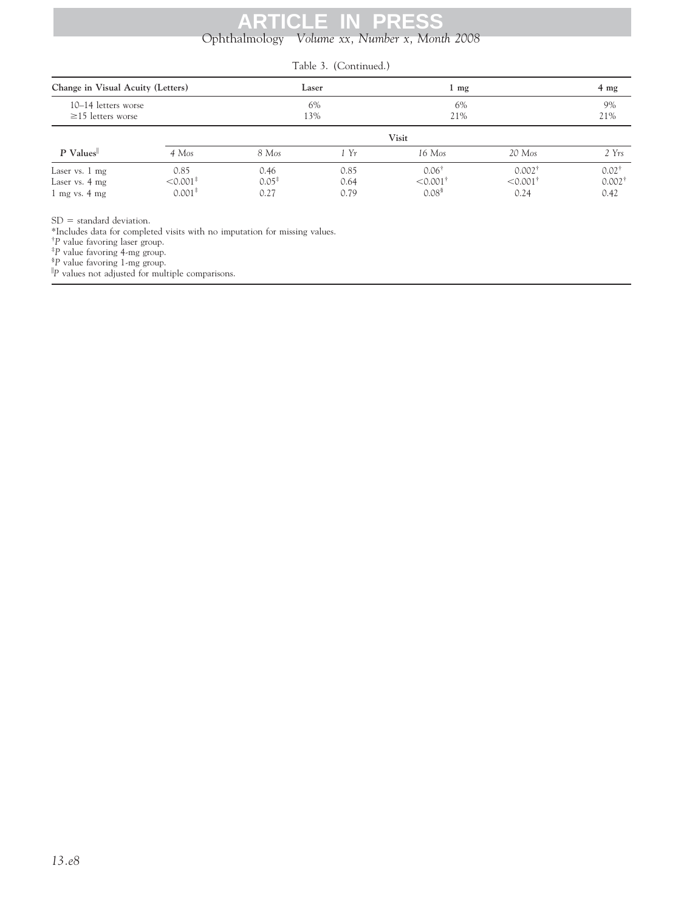## $\nabla$ Volume xx, Number x, Month 2008 **ARTICLE IN PRESS**<br>Ophthalmology Volume xx, Number x, Mon

## Table 3. (Continued.)

| Change in Visual Acuity (Letters)                           |                                            |                                   | Laser                |                                                                 |                                  | $4 \text{ mg}$                  |  |
|-------------------------------------------------------------|--------------------------------------------|-----------------------------------|----------------------|-----------------------------------------------------------------|----------------------------------|---------------------------------|--|
| 10-14 letters worse<br>$\geq$ 15 letters worse              |                                            |                                   | 6%<br>13%            | 6%<br>21%                                                       |                                  | 9%<br>21%                       |  |
|                                                             |                                            | Visit                             |                      |                                                                 |                                  |                                 |  |
| $P$ Values                                                  | $4$ Mos                                    | 8 Mos                             | 1 Yr                 | $16$ Mos                                                        | $20$ Mos                         | 2Yrs                            |  |
| Laser vs. 1 mg<br>Laser vs. 4 mg<br>1 mg vs. $4 \text{ mg}$ | 0.85<br>$< 0.001$ <sup>*</sup><br>$0.001*$ | 0.46<br>$0.05^{\ddagger}$<br>0.27 | 0.85<br>0.64<br>0.79 | $0.06^{\dagger}$<br>$< 0.001$ <sup>†</sup><br>0.08 <sup>8</sup> | $0.002^+$<br>$< 0.001^+$<br>0.24 | $0.02^+$<br>$0.002^{+}$<br>0.42 |  |

 $SD =$  standard deviation.

\*Includes data for completed visits with no imputation for missing values. † *<sup>P</sup>* value favoring laser group. ‡

<sup>‡</sup>*P* value favoring 4-mg group.

*<sup>P</sup>* value favoring 1-mg group. *P* values not adjusted for multiple comparisons.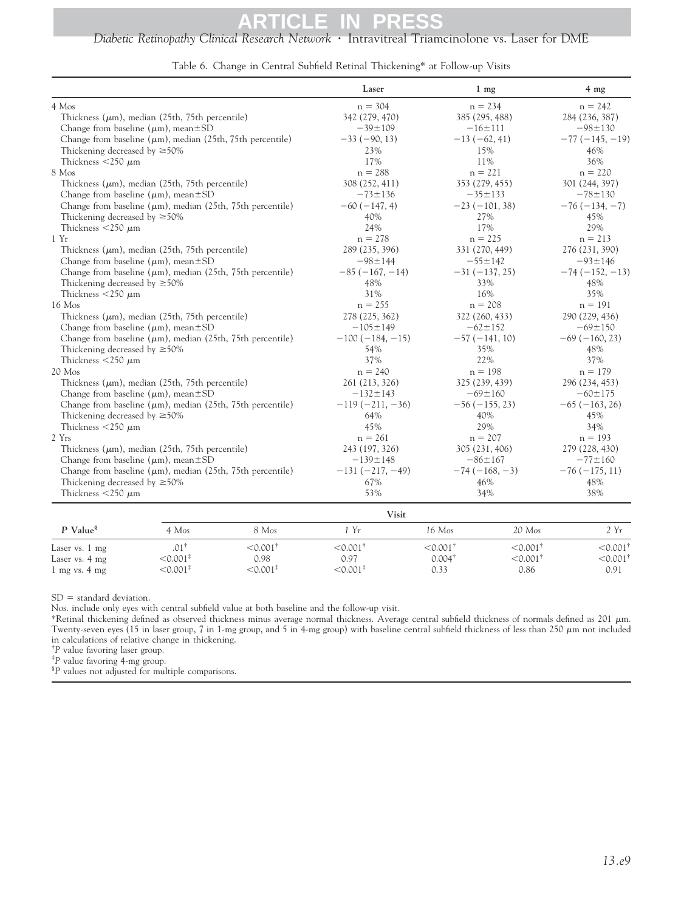## **ARTICLE IN PRESS**

*Diabetic Retinopathy Clinical Research Network* Intravitreal Triamcinolone vs. Laser for DME

Table 6. Change in Central Subfield Retinal Thickening\* at Follow-up Visits

<span id="page-21-0"></span>

|                                                                 | Laser             | $1 \, \text{mg}$ | $4 \text{ mg}$  |
|-----------------------------------------------------------------|-------------------|------------------|-----------------|
| 4 Mos                                                           | $n = 304$         | $n = 234$        | $n = 242$       |
| Thickness $(\mu m)$ , median (25th, 75th percentile)            | 342 (279, 470)    | 385 (295, 488)   | 284 (236, 387)  |
| Change from baseline $(\mu m)$ , mean $\pm$ SD                  | $-39 \pm 109$     | $-16 \pm 111$    | $-98 \pm 130$   |
| Change from baseline $(\mu m)$ , median (25th, 75th percentile) | $-33(-90, 13)$    | $-13(-62, 41)$   | $-77(-145,-19)$ |
| Thickening decreased by $\geq 50\%$                             | 23%               | 15%              | 46%             |
| Thickness $\lt$ 250 $\mu$ m                                     | 17%               | 11%              | 36%             |
| 8 Mos                                                           | $n = 288$         | $n = 221$        | $n = 220$       |
| Thickness $(\mu m)$ , median (25th, 75th percentile)            | 308 (252, 411)    | 353 (279, 455)   | 301 (244, 397)  |
| Change from baseline $(\mu m)$ , mean $\pm$ SD                  | $-73 \pm 136$     | $-35 \pm 133$    | $-78 \pm 130$   |
| Change from baseline $(\mu m)$ , median (25th, 75th percentile) | $-60(-147, 4)$    | $-23(-101, 38)$  | $-76(-134,-7)$  |
| Thickening decreased by $\geq 50\%$                             | 40%               | 27%              | 45%             |
| Thickness $\lt$ 250 $\mu$ m                                     | 24%               | 17%              | 29%             |
| 1 Yr                                                            | $n = 278$         | $n = 225$        | $n = 213$       |
| Thickness $(\mu m)$ , median (25th, 75th percentile)            | 289 (235, 396)    | 331 (270, 449)   | 276 (231, 390)  |
| Change from baseline $(\mu m)$ , mean $\pm$ SD                  | $-98 \pm 144$     | $-55 \pm 142$    | $-93 \pm 146$   |
| Change from baseline $(\mu m)$ , median (25th, 75th percentile) | $-85(-167,-14)$   | $-31(-137, 25)$  | $-74(-152,-13)$ |
| Thickening decreased by $\geq 50\%$                             | 48%               | 33%              | 48%             |
| Thickness <250 $\mu$ m                                          | 31%               | 16%              | 35%             |
| $16$ Mos                                                        | $n = 255$         | $n = 208$        | $n = 191$       |
| Thickness $(\mu m)$ , median (25th, 75th percentile)            | 278 (225, 362)    | 322 (260, 433)   | 290 (229, 436)  |
| Change from baseline $(\mu m)$ , mean $\pm$ SD                  | $-105 \pm 149$    | $-62 \pm 152$    | $-69 \pm 150$   |
| Change from baseline $(\mu m)$ , median (25th, 75th percentile) | $-100(-184, -15)$ | $-57(-141, 10)$  | $-69(-160, 23)$ |
| Thickening decreased by $\geq 50\%$                             | 54%               | 35%              | 48%             |
| Thickness $<$ 250 $\mu$ m                                       | 37%               | 22%              | 37%             |
| $20$ Mos                                                        | $n = 240$         | $n = 198$        | $n = 179$       |
| Thickness $(\mu m)$ , median (25th, 75th percentile)            | 261 (213, 326)    | 325 (239, 439)   | 296 (234, 453)  |
| Change from baseline $(\mu m)$ , mean $\pm$ SD                  | $-132 \pm 143$    | $-69 \pm 160$    | $-60 \pm 175$   |
| Change from baseline $(\mu m)$ , median (25th, 75th percentile) | $-119(-211,-36)$  | $-56(-155, 23)$  | $-65(-163, 26)$ |
| Thickening decreased by $\geq 50\%$                             | 64%               | 40%              | 45%             |
| Thickness $\lt$ 250 $\mu$ m                                     | 45%               | 29%              | 34%             |
| 2 Yrs                                                           | $n = 261$         | $n = 207$        | $n = 193$       |
| Thickness $(\mu m)$ , median (25th, 75th percentile)            | 243 (197, 326)    | 305 (231, 406)   | 279 (228, 430)  |
| Change from baseline $(\mu m)$ , mean $\pm$ SD                  | $-139 \pm 148$    | $-86 \pm 167$    | $-77 \pm 160$   |
| Change from baseline $(\mu m)$ , median (25th, 75th percentile) | $-131(-217, -49)$ | $-74(-168,-3)$   | $-76(-175, 11)$ |
| Thickening decreased by $\geq 50\%$                             | 67%               | 46%              | 48%             |
| Thickness $\lt$ 250 $\mu$ m                                     | 53%               | 34%              | 38%             |
|                                                                 | Visit             |                  |                 |
| ---- 8                                                          |                   |                  |                 |

| P Value <sup>§</sup>              | Mos                   | 8 Mos                                                               | Yr                    | 16 Mos            | $20$ Mos               | 2Yr                    |
|-----------------------------------|-----------------------|---------------------------------------------------------------------|-----------------------|-------------------|------------------------|------------------------|
| Laser vs. 1 mg                    | .01                   | $\lesssim 0.001^{\circ}$                                            | < 0.001               | < 0.001           | 0.001                  | $0.001^+$              |
| Laser vs. 4 mg                    | $-0.001$ <sup>#</sup> | 0.98                                                                | 0.97                  | $0.004^{\dagger}$ | $< 0.001$ <sup>+</sup> | $< 0.001$ <sup>+</sup> |
| $1 \text{ mg}$ vs. $4 \text{ mg}$ | $<$ 0.001 $^\ddag$    | $\stackrel{<}{\scriptstyle{0.001}}$ $\stackrel{+}{\scriptstyle{0}}$ | ${<}0.001^{\ddagger}$ | 0.33              | 0.86                   | 0.91                   |

 $SD = standard deviation$ .

Nos. include only eyes with central subfield value at both baseline and the follow-up visit.

\*Retinal thickening defined as observed thickness minus average normal thickness. Average central subfield thickness of normals defined as 201  $\mu$ m. Twenty-seven eyes (15 in laser group, 7 in 1-mg group, and 5 in 4-mg group) with baseline central subfield thickness of less than 250  $\mu$ m not included in calculations of relative change in thickening.

<sup>†</sup>*P* value favoring laser group.

<sup>#</sup>P value favoring 4-mg group.

<sup>8</sup>P values not adjusted for multiple comparisons.